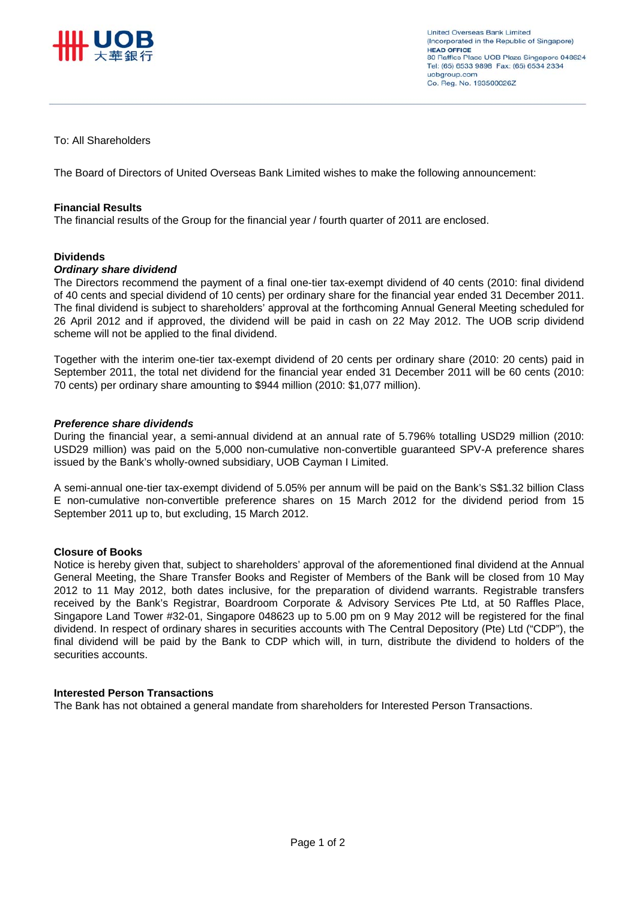

**United Overseas Bank Limited** (Incorporated in the Republic of Singapore) **HEAD OFFICE** 80 Raffles Place UOB Plaza Singapore 048624 Tel: (65) 6533 9898 Fax: (65) 6534 2334 uobgroup.com Co. Reg. No. 193500026Z

To: All Shareholders

The Board of Directors of United Overseas Bank Limited wishes to make the following announcement:

#### **Financial Results**

The financial results of the Group for the financial year / fourth quarter of 2011 are enclosed.

#### **Dividends**

#### *Ordinary share dividend*

The Directors recommend the payment of a final one-tier tax-exempt dividend of 40 cents (2010: final dividend of 40 cents and special dividend of 10 cents) per ordinary share for the financial year ended 31 December 2011. The final dividend is subject to shareholders' approval at the forthcoming Annual General Meeting scheduled for 26 April 2012 and if approved, the dividend will be paid in cash on 22 May 2012. The UOB scrip dividend scheme will not be applied to the final dividend.

Together with the interim one-tier tax-exempt dividend of 20 cents per ordinary share (2010: 20 cents) paid in September 2011, the total net dividend for the financial year ended 31 December 2011 will be 60 cents (2010: 70 cents) per ordinary share amounting to \$944 million (2010: \$1,077 million).

#### *Preference share dividends*

During the financial year, a semi-annual dividend at an annual rate of 5.796% totalling USD29 million (2010: USD29 million) was paid on the 5,000 non-cumulative non-convertible guaranteed SPV-A preference shares issued by the Bank's wholly-owned subsidiary, UOB Cayman I Limited.

A semi-annual one-tier tax-exempt dividend of 5.05% per annum will be paid on the Bank's S\$1.32 billion Class E non-cumulative non-convertible preference shares on 15 March 2012 for the dividend period from 15 September 2011 up to, but excluding, 15 March 2012.

#### **Closure of Books**

Notice is hereby given that, subject to shareholders' approval of the aforementioned final dividend at the Annual General Meeting, the Share Transfer Books and Register of Members of the Bank will be closed from 10 May 2012 to 11 May 2012, both dates inclusive, for the preparation of dividend warrants. Registrable transfers received by the Bank's Registrar, Boardroom Corporate & Advisory Services Pte Ltd, at 50 Raffles Place, Singapore Land Tower #32-01, Singapore 048623 up to 5.00 pm on 9 May 2012 will be registered for the final dividend. In respect of ordinary shares in securities accounts with The Central Depository (Pte) Ltd ("CDP"), the final dividend will be paid by the Bank to CDP which will, in turn, distribute the dividend to holders of the securities accounts.

#### **Interested Person Transactions**

The Bank has not obtained a general mandate from shareholders for Interested Person Transactions.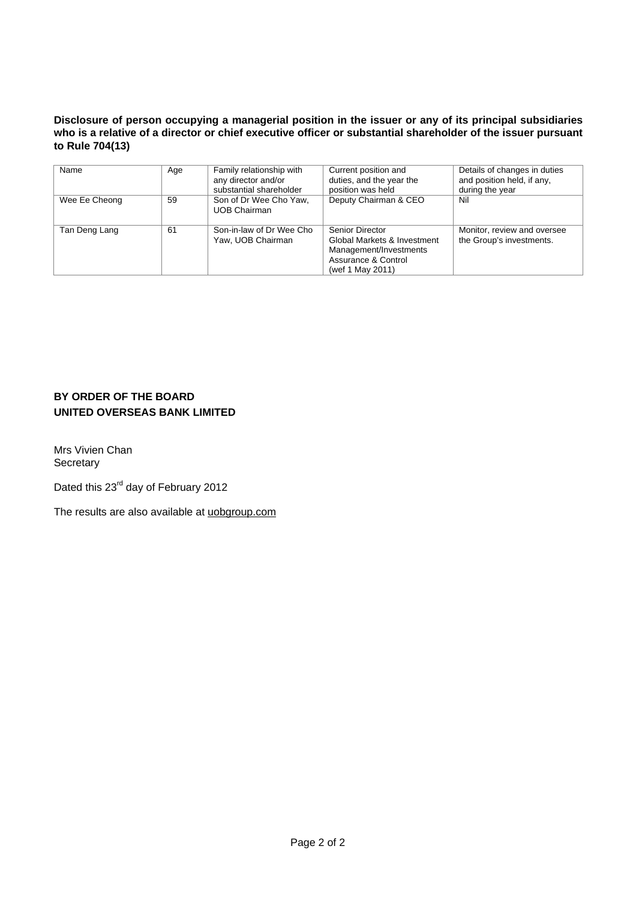**Disclosure of person occupying a managerial position in the issuer or any of its principal subsidiaries who is a relative of a director or chief executive officer or substantial shareholder of the issuer pursuant to Rule 704(13)** 

| Name          | Age | Family relationship with<br>any director and/or<br>substantial shareholder | Current position and<br>duties, and the year the<br>position was held                                                      | Details of changes in duties<br>and position held, if any,<br>during the year |
|---------------|-----|----------------------------------------------------------------------------|----------------------------------------------------------------------------------------------------------------------------|-------------------------------------------------------------------------------|
| Wee Ee Cheong | 59  | Son of Dr Wee Cho Yaw.<br><b>UOB Chairman</b>                              | Deputy Chairman & CEO                                                                                                      | Nil                                                                           |
| Tan Deng Lang | 61  | Son-in-law of Dr Wee Cho<br>Yaw, UOB Chairman                              | <b>Senior Director</b><br>Global Markets & Investment<br>Management/Investments<br>Assurance & Control<br>(wef 1 May 2011) | Monitor, review and oversee<br>the Group's investments.                       |

# **BY ORDER OF THE BOARD UNITED OVERSEAS BANK LIMITED**

Mrs Vivien Chan **Secretary** 

Dated this 23<sup>rd</sup> day of February 2012

The results are also available at uobgroup.com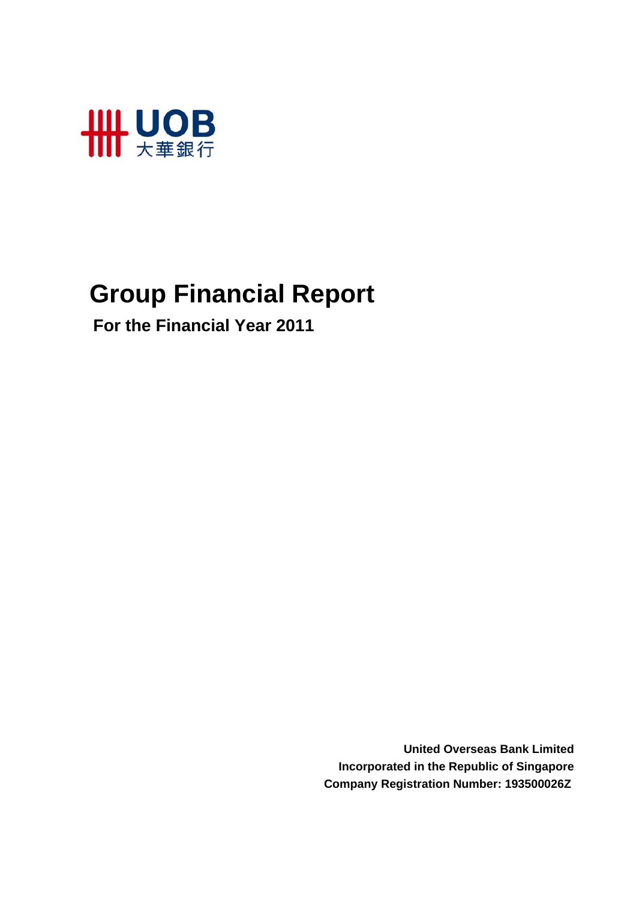

# **Group Financial Report**

 **For the Financial Year 2011**

**United Overseas Bank Limited Incorporated in the Republic of Singapore Company Registration Number: 193500026Z**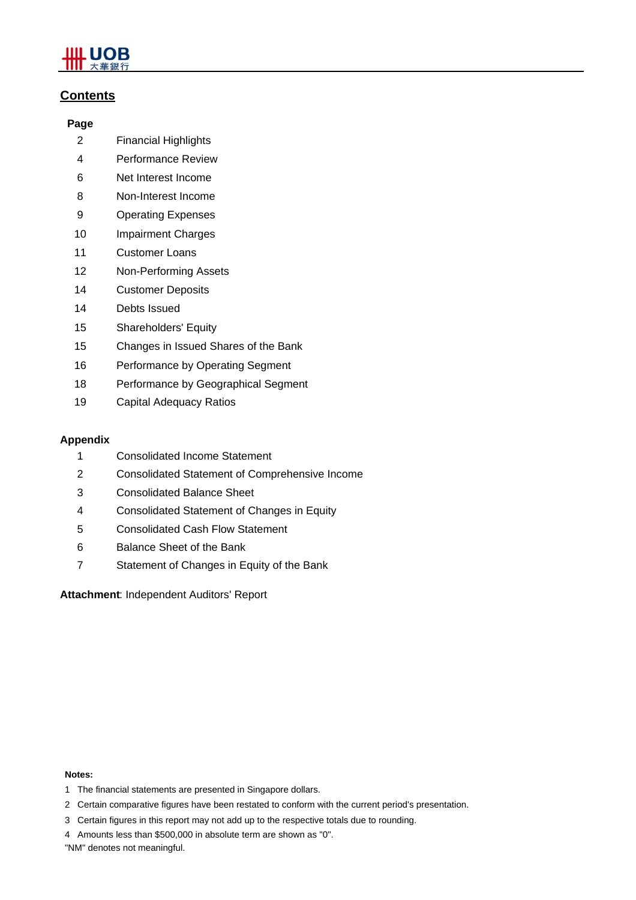# IIL UOB

# **Contents**

## **Page**

- 2 Financial Highlights
- 4 Performance Review
- 6 Net Interest Income
- 8 Non-Interest Income
- 9 Operating Expenses
- 10 Impairment Charges
- 11 Customer Loans
- 12 Non-Performing Assets
- 14 Customer Deposits
- 14 Debts Issued
- 15 Shareholders' Equity
- 15 Changes in Issued Shares of the Bank
- 16 Performance by Operating Segment
- 18 Performance by Geographical Segment
- 19 Capital Adequacy Ratios

### **Appendix**

- 1 Consolidated Income Statement
- 2 Consolidated Statement of Comprehensive Income
- 3 Consolidated Balance Sheet
- 4 Consolidated Statement of Changes in Equity
- 5 Consolidated Cash Flow Statement
- 6 Balance Sheet of the Bank
- 7 Statement of Changes in Equity of the Bank

**Attachment**: Independent Auditors' Report

#### **Notes:**

- 1 The financial statements are presented in Singapore dollars.
- 2 Certain comparative figures have been restated to conform with the current period's presentation.
- 3 Certain figures in this report may not add up to the respective totals due to rounding.
- 4 Amounts less than \$500,000 in absolute term are shown as "0".

"NM" denotes not meaningful.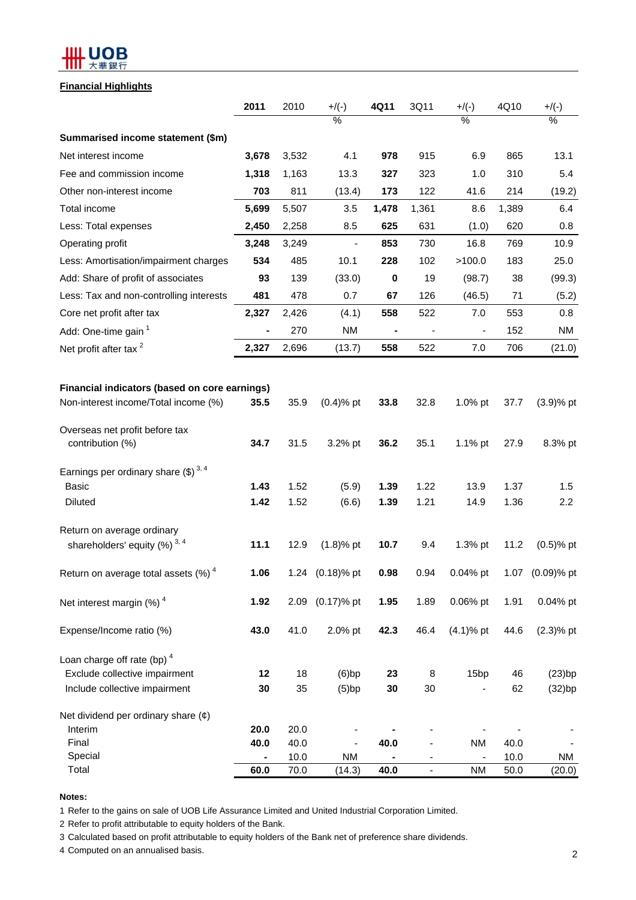### ШL UOB 大華銀行

#### **Financial Highlights**

|                                                  | 2011  | 2010  | $+$ /(-)                     | 4Q11      | 3Q11           | $+$ /(-)         | 4Q10  | $+$ /(-)      |
|--------------------------------------------------|-------|-------|------------------------------|-----------|----------------|------------------|-------|---------------|
|                                                  |       |       | $\frac{0}{6}$                |           |                | $\frac{9}{6}$    |       | $\frac{0}{6}$ |
| Summarised income statement (\$m)                |       |       |                              |           |                |                  |       |               |
| Net interest income                              | 3,678 | 3,532 | 4.1                          | 978       | 915            | 6.9              | 865   | 13.1          |
| Fee and commission income                        | 1,318 | 1,163 | 13.3                         | 327       | 323            | 1.0              | 310   | 5.4           |
| Other non-interest income                        | 703   | 811   | (13.4)                       | 173       | 122            | 41.6             | 214   | (19.2)        |
| Total income                                     | 5,699 | 5,507 | 3.5                          | 1,478     | 1,361          | 8.6              | 1,389 | 6.4           |
| Less: Total expenses                             | 2,450 | 2,258 | 8.5                          | 625       | 631            | (1.0)            | 620   | 0.8           |
| Operating profit                                 | 3,248 | 3,249 | $\overline{\phantom{a}}$     | 853       | 730            | 16.8             | 769   | 10.9          |
| Less: Amortisation/impairment charges            | 534   | 485   | 10.1                         | 228       | 102            | >100.0           | 183   | 25.0          |
| Add: Share of profit of associates               | 93    | 139   | (33.0)                       | $\pmb{0}$ | 19             | (98.7)           | 38    | (99.3)        |
| Less: Tax and non-controlling interests          | 481   | 478   | 0.7                          | 67        | 126            | (46.5)           | 71    | (5.2)         |
| Core net profit after tax                        | 2,327 | 2,426 | (4.1)                        | 558       | 522            | 7.0              | 553   | 0.8           |
| Add: One-time gain <sup>1</sup>                  |       | 270   | <b>NM</b>                    |           |                |                  | 152   | NM            |
| Net profit after tax <sup>2</sup>                | 2,327 | 2,696 | (13.7)                       | 558       | 522            | 7.0              | 706   | (21.0)        |
|                                                  |       |       |                              |           |                |                  |       |               |
| Financial indicators (based on core earnings)    |       |       |                              |           |                |                  |       |               |
| Non-interest income/Total income (%)             | 35.5  | 35.9  | $(0.4)$ % pt                 | 33.8      | 32.8           | 1.0% pt          | 37.7  | $(3.9)$ % pt  |
|                                                  |       |       |                              |           |                |                  |       |               |
| Overseas net profit before tax                   |       |       |                              |           |                |                  |       |               |
| contribution (%)                                 | 34.7  | 31.5  | 3.2% pt                      | 36.2      | 35.1           | 1.1% pt          | 27.9  | 8.3% pt       |
| Earnings per ordinary share $(\text{$\$})^{3,4}$ |       |       |                              |           |                |                  |       |               |
| <b>Basic</b>                                     | 1.43  | 1.52  | (5.9)                        | 1.39      | 1.22           | 13.9             | 1.37  | 1.5           |
| <b>Diluted</b>                                   | 1.42  | 1.52  | (6.6)                        | 1.39      | 1.21           | 14.9             | 1.36  | 2.2           |
|                                                  |       |       |                              |           |                |                  |       |               |
| Return on average ordinary                       |       |       |                              |           |                |                  |       |               |
| shareholders' equity $(%)^{3,4}$                 | 11.1  | 12.9  | $(1.8)$ % pt                 | 10.7      | 9.4            | 1.3% pt          | 11.2  | $(0.5)$ % pt  |
| Return on average total assets $(\%)^4$          | 1.06  | 1.24  | $(0.18)$ % pt                | 0.98      | 0.94           | 0.04% pt         | 1.07  | $(0.09)$ % pt |
|                                                  |       |       |                              |           |                |                  |       |               |
| Net interest margin $(\%)$ <sup>4</sup>          | 1.92  | 2.09  | $(0.17)$ % pt                | 1.95      | 1.89           | 0.06% pt         | 1.91  | 0.04% pt      |
| Expense/Income ratio (%)                         | 43.0  | 41.0  | 2.0% pt                      | 42.3      | 46.4           | $(4.1)$ % pt     | 44.6  | $(2.3)$ % pt  |
|                                                  |       |       |                              |           |                |                  |       |               |
| Loan charge off rate (bp) $4$                    |       |       |                              |           |                |                  |       |               |
| Exclude collective impairment                    | 12    | 18    | (6)bp                        | 23        | 8              | 15 <sub>bp</sub> | 46    | (23)bp        |
| Include collective impairment                    | 30    | 35    | (5)bp                        | 30        | 30             |                  | 62    | (32)bp        |
| Net dividend per ordinary share $(e)$            |       |       |                              |           |                |                  |       |               |
| Interim                                          | 20.0  | 20.0  |                              |           |                |                  |       |               |
| Final                                            | 40.0  | 40.0  | $\qquad \qquad \blacksquare$ | 40.0      |                | <b>NM</b>        | 40.0  |               |
| Special                                          |       | 10.0  | <b>NM</b>                    |           |                |                  | 10.0  | <b>NM</b>     |
| Total                                            | 60.0  | 70.0  | (14.3)                       | 40.0      | $\blacksquare$ | <b>NM</b>        | 50.0  | (20.0)        |

**Notes:**

1 Refer to the gains on sale of UOB Life Assurance Limited and United Industrial Corporation Limited.

2 Refer to profit attributable to equity holders of the Bank.

3 Calculated based on profit attributable to equity holders of the Bank net of preference share dividends.

4 Computed on an annualised basis.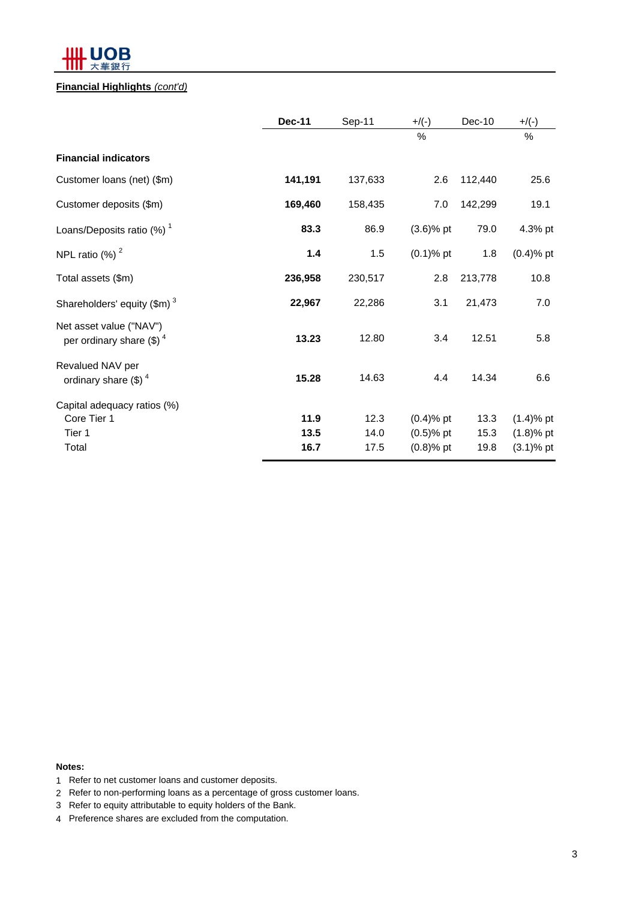

#### **Financial Highlights** *(cont'd)*

|                                                        | <b>Dec-11</b> | Sep-11  | $+$ /(-)     | Dec-10  | $+$ /(-)     |
|--------------------------------------------------------|---------------|---------|--------------|---------|--------------|
|                                                        |               |         | %            |         | $\%$         |
| <b>Financial indicators</b>                            |               |         |              |         |              |
| Customer loans (net) (\$m)                             | 141,191       | 137,633 | 2.6          | 112,440 | 25.6         |
| Customer deposits (\$m)                                | 169,460       | 158,435 | 7.0          | 142,299 | 19.1         |
| Loans/Deposits ratio $(\%)$ <sup>1</sup>               | 83.3          | 86.9    | $(3.6)$ % pt | 79.0    | 4.3% pt      |
| NPL ratio $(%)2$                                       | 1.4           | 1.5     | $(0.1)$ % pt | 1.8     | $(0.4)$ % pt |
| Total assets (\$m)                                     | 236,958       | 230,517 | 2.8          | 213,778 | 10.8         |
| Shareholders' equity $(\text{Im})^3$                   | 22,967        | 22,286  | 3.1          | 21,473  | 7.0          |
| Net asset value ("NAV")<br>per ordinary share $(\$)^4$ | 13.23         | 12.80   | 3.4          | 12.51   | 5.8          |
| Revalued NAV per<br>ordinary share $(\$)^4$            | 15.28         | 14.63   | 4.4          | 14.34   | 6.6          |
| Capital adequacy ratios (%)                            |               |         |              |         |              |
| Core Tier 1                                            | 11.9          | 12.3    | $(0.4)$ % pt | 13.3    | $(1.4)$ % pt |
| Tier 1                                                 | 13.5          | 14.0    | $(0.5)$ % pt | 15.3    | $(1.8)$ % pt |
| Total                                                  | 16.7          | 17.5    | $(0.8)$ % pt | 19.8    | $(3.1)$ % pt |

#### **Notes:**

- 1 Refer to net customer loans and customer deposits.
- 2 Refer to non-performing loans as a percentage of gross customer loans.
- 3 Refer to equity attributable to equity holders of the Bank.
- 4 Preference shares are excluded from the computation.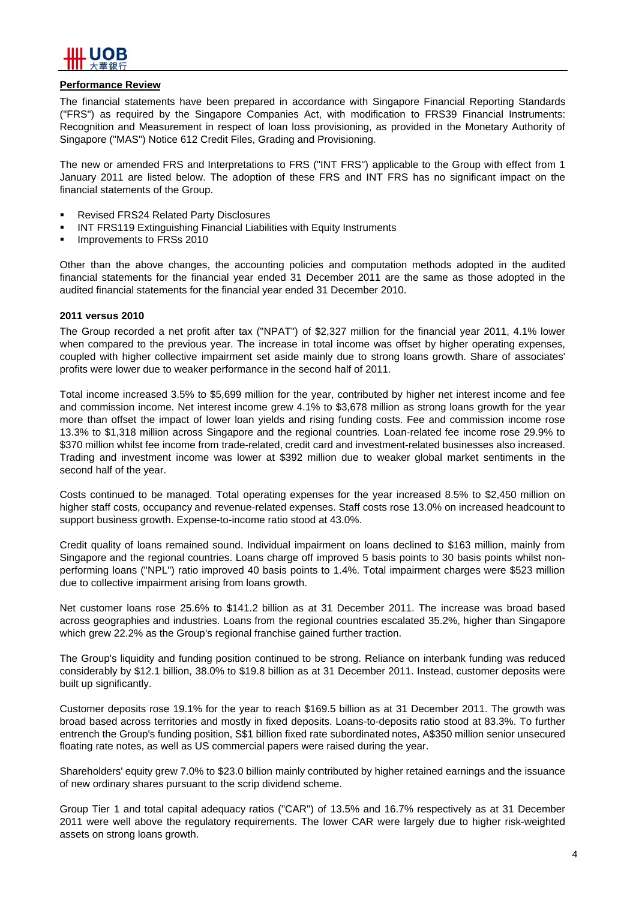

#### **Performance Review**

The financial statements have been prepared in accordance with Singapore Financial Reporting Standards ("FRS") as required by the Singapore Companies Act, with modification to FRS39 Financial Instruments: Recognition and Measurement in respect of loan loss provisioning, as provided in the Monetary Authority of Singapore ("MAS") Notice 612 Credit Files, Grading and Provisioning.

The new or amended FRS and Interpretations to FRS ("INT FRS") applicable to the Group with effect from 1 January 2011 are listed below. The adoption of these FRS and INT FRS has no significant impact on the financial statements of the Group.

- **Revised FRS24 Related Party Disclosures**
- INT FRS119 Extinguishing Financial Liabilities with Equity Instruments
- Improvements to FRSs 2010

Other than the above changes, the accounting policies and computation methods adopted in the audited financial statements for the financial year ended 31 December 2011 are the same as those adopted in the audited financial statements for the financial year ended 31 December 2010.

#### **2011 versus 2010**

The Group recorded a net profit after tax ("NPAT") of \$2,327 million for the financial year 2011, 4.1% lower when compared to the previous year. The increase in total income was offset by higher operating expenses, coupled with higher collective impairment set aside mainly due to strong loans growth. Share of associates' profits were lower due to weaker performance in the second half of 2011.

Total income increased 3.5% to \$5,699 million for the year, contributed by higher net interest income and fee and commission income. Net interest income grew 4.1% to \$3,678 million as strong loans growth for the year more than offset the impact of lower loan yields and rising funding costs. Fee and commission income rose 13.3% to \$1,318 million across Singapore and the regional countries. Loan-related fee income rose 29.9% to \$370 million whilst fee income from trade-related, credit card and investment-related businesses also increased. Trading and investment income was lower at \$392 million due to weaker global market sentiments in the second half of the year.

Costs continued to be managed. Total operating expenses for the year increased 8.5% to \$2,450 million on higher staff costs, occupancy and revenue-related expenses. Staff costs rose 13.0% on increased headcount to support business growth. Expense-to-income ratio stood at 43.0%.

Credit quality of loans remained sound. Individual impairment on loans declined to \$163 million, mainly from Singapore and the regional countries. Loans charge off improved 5 basis points to 30 basis points whilst nonperforming loans ("NPL") ratio improved 40 basis points to 1.4%. Total impairment charges were \$523 million due to collective impairment arising from loans growth.

Net customer loans rose 25.6% to \$141.2 billion as at 31 December 2011. The increase was broad based across geographies and industries. Loans from the regional countries escalated 35.2%, higher than Singapore which grew 22.2% as the Group's regional franchise gained further traction.

The Group's liquidity and funding position continued to be strong. Reliance on interbank funding was reduced considerably by \$12.1 billion, 38.0% to \$19.8 billion as at 31 December 2011. Instead, customer deposits were built up significantly.

Customer deposits rose 19.1% for the year to reach \$169.5 billion as at 31 December 2011. The growth was broad based across territories and mostly in fixed deposits. Loans-to-deposits ratio stood at 83.3%. To further entrench the Group's funding position, S\$1 billion fixed rate subordinated notes, A\$350 million senior unsecured floating rate notes, as well as US commercial papers were raised during the year.

Shareholders' equity grew 7.0% to \$23.0 billion mainly contributed by higher retained earnings and the issuance of new ordinary shares pursuant to the scrip dividend scheme.

Group Tier 1 and total capital adequacy ratios ("CAR") of 13.5% and 16.7% respectively as at 31 December 2011 were well above the regulatory requirements. The lower CAR were largely due to higher risk-weighted assets on strong loans growth.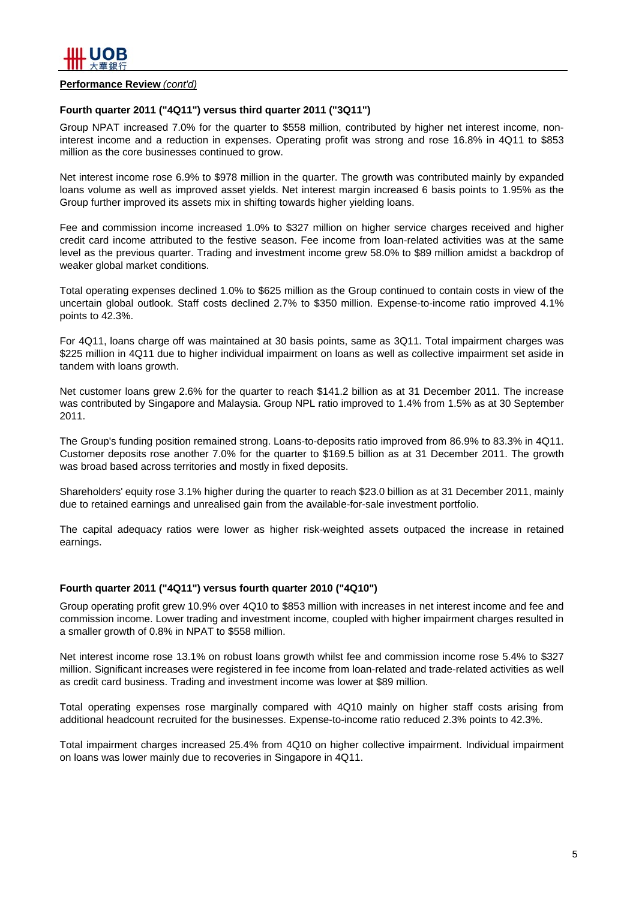

#### **Performance Review** *(cont'd)*

#### **Fourth quarter 2011 ("4Q11") versus third quarter 2011 ("3Q11")**

Group NPAT increased 7.0% for the quarter to \$558 million, contributed by higher net interest income, noninterest income and a reduction in expenses. Operating profit was strong and rose 16.8% in 4Q11 to \$853 million as the core businesses continued to grow.

Net interest income rose 6.9% to \$978 million in the quarter. The growth was contributed mainly by expanded loans volume as well as improved asset yields. Net interest margin increased 6 basis points to 1.95% as the Group further improved its assets mix in shifting towards higher yielding loans.

Fee and commission income increased 1.0% to \$327 million on higher service charges received and higher credit card income attributed to the festive season. Fee income from loan-related activities was at the same level as the previous quarter. Trading and investment income grew 58.0% to \$89 million amidst a backdrop of weaker global market conditions.

Total operating expenses declined 1.0% to \$625 million as the Group continued to contain costs in view of the uncertain global outlook. Staff costs declined 2.7% to \$350 million. Expense-to-income ratio improved 4.1% points to 42.3%.

For 4Q11, loans charge off was maintained at 30 basis points, same as 3Q11. Total impairment charges was \$225 million in 4Q11 due to higher individual impairment on loans as well as collective impairment set aside in tandem with loans growth.

Net customer loans grew 2.6% for the quarter to reach \$141.2 billion as at 31 December 2011. The increase was contributed by Singapore and Malaysia. Group NPL ratio improved to 1.4% from 1.5% as at 30 September 2011.

The Group's funding position remained strong. Loans-to-deposits ratio improved from 86.9% to 83.3% in 4Q11. Customer deposits rose another 7.0% for the quarter to \$169.5 billion as at 31 December 2011. The growth was broad based across territories and mostly in fixed deposits.

Shareholders' equity rose 3.1% higher during the quarter to reach \$23.0 billion as at 31 December 2011, mainly due to retained earnings and unrealised gain from the available-for-sale investment portfolio.

The capital adequacy ratios were lower as higher risk-weighted assets outpaced the increase in retained earnings.

#### **Fourth quarter 2011 ("4Q11") versus fourth quarter 2010 ("4Q10")**

Group operating profit grew 10.9% over 4Q10 to \$853 million with increases in net interest income and fee and commission income. Lower trading and investment income, coupled with higher impairment charges resulted in a smaller growth of 0.8% in NPAT to \$558 million.

Net interest income rose 13.1% on robust loans growth whilst fee and commission income rose 5.4% to \$327 million. Significant increases were registered in fee income from loan-related and trade-related activities as well as credit card business. Trading and investment income was lower at \$89 million.

Total operating expenses rose marginally compared with 4Q10 mainly on higher staff costs arising from additional headcount recruited for the businesses. Expense-to-income ratio reduced 2.3% points to 42.3%.

Total impairment charges increased 25.4% from 4Q10 on higher collective impairment. Individual impairment on loans was lower mainly due to recoveries in Singapore in 4Q11.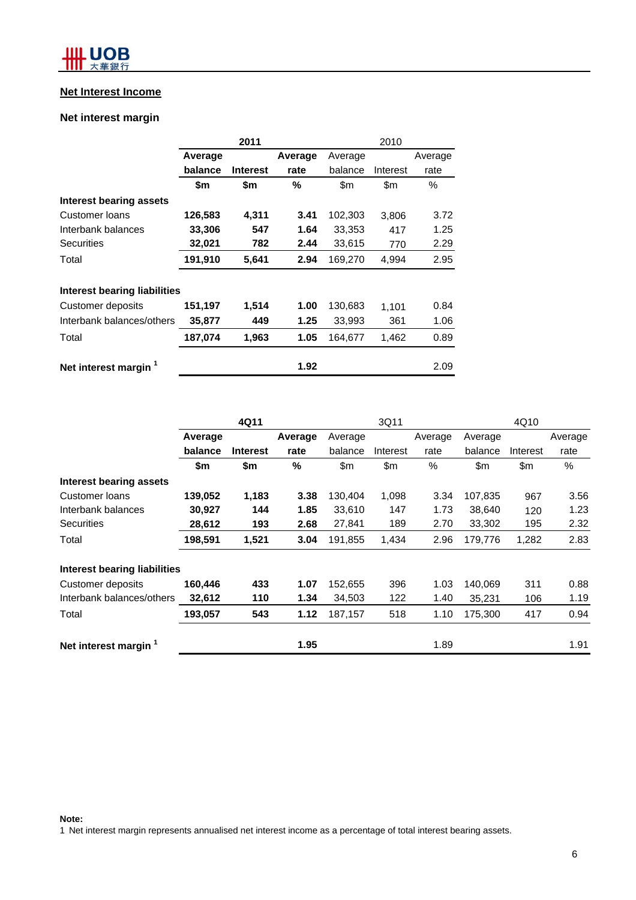# **Net Interest Income**

# **Net interest margin**

|                              |         | 2011            |         | 2010    |          |         |  |
|------------------------------|---------|-----------------|---------|---------|----------|---------|--|
|                              | Average |                 | Average | Average |          | Average |  |
|                              | balance | <b>Interest</b> | rate    | balance | Interest | rate    |  |
|                              | \$m     | \$m             | %       | \$m     | \$m      | $\%$    |  |
| Interest bearing assets      |         |                 |         |         |          |         |  |
| Customer Ioans               | 126,583 | 4,311           | 3.41    | 102,303 | 3,806    | 3.72    |  |
| Interbank balances           | 33,306  | 547             | 1.64    | 33,353  | 417      | 1.25    |  |
| <b>Securities</b>            | 32,021  | 782             | 2.44    | 33,615  | 770      | 2.29    |  |
| Total                        | 191,910 | 5,641           | 2.94    | 169,270 | 4,994    | 2.95    |  |
| Interest bearing liabilities |         |                 |         |         |          |         |  |
| Customer deposits            | 151,197 | 1,514           | 1.00    | 130,683 | 1,101    | 0.84    |  |
| Interbank balances/others    | 35,877  | 449             | 1.25    | 33,993  | 361      | 1.06    |  |
| Total                        | 187,074 | 1,963           | 1.05    | 164,677 | 1,462    | 0.89    |  |
| Net interest margin          |         |                 | 1.92    |         |          | 2.09    |  |

|                                     | 4Q11    |                 |         | 3Q11    |          |         | 4Q10    |          |         |
|-------------------------------------|---------|-----------------|---------|---------|----------|---------|---------|----------|---------|
|                                     | Average |                 | Average | Average |          | Average | Average |          | Average |
|                                     | balance | <b>Interest</b> | rate    | balance | Interest | rate    | balance | Interest | rate    |
|                                     | \$m     | \$m             | %       | \$m\$   | \$m      | $\%$    | \$m\$   | \$m      | %       |
| Interest bearing assets             |         |                 |         |         |          |         |         |          |         |
| Customer Ioans                      | 139,052 | 1,183           | 3.38    | 130,404 | 1,098    | 3.34    | 107,835 | 967      | 3.56    |
| Interbank balances                  | 30,927  | 144             | 1.85    | 33,610  | 147      | 1.73    | 38,640  | 120      | 1.23    |
| <b>Securities</b>                   | 28,612  | 193             | 2.68    | 27,841  | 189      | 2.70    | 33,302  | 195      | 2.32    |
| Total                               | 198,591 | 1,521           | 3.04    | 191,855 | 1,434    | 2.96    | 179,776 | 1,282    | 2.83    |
| <b>Interest bearing liabilities</b> |         |                 |         |         |          |         |         |          |         |
| Customer deposits                   | 160,446 | 433             | 1.07    | 152,655 | 396      | 1.03    | 140,069 | 311      | 0.88    |
| Interbank balances/others           | 32,612  | 110             | 1.34    | 34,503  | 122      | 1.40    | 35,231  | 106      | 1.19    |
| Total                               | 193,057 | 543             | 1.12    | 187,157 | 518      | 1.10    | 175,300 | 417      | 0.94    |
| Net interest margin                 |         |                 | 1.95    |         |          | 1.89    |         |          | 1.91    |

#### **Note:**

1 Net interest margin represents annualised net interest income as a percentage of total interest bearing assets.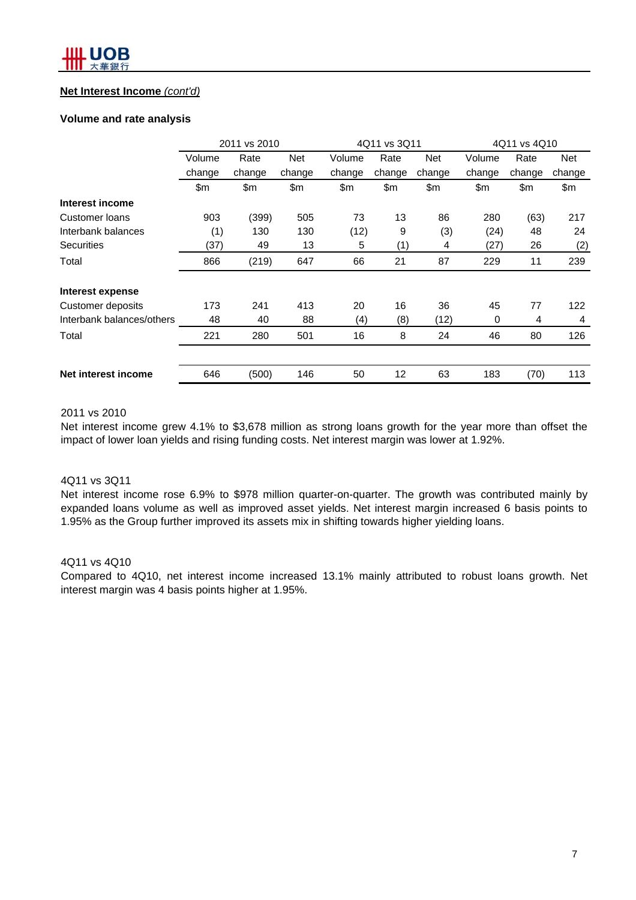# **Net Interest Income** *(cont'd)*

#### **Volume and rate analysis**

|                           | 2011 vs 2010 |        |        | 4Q11 vs 3Q11 |        |        | 4Q11 vs 4Q10 |        |        |
|---------------------------|--------------|--------|--------|--------------|--------|--------|--------------|--------|--------|
|                           | Volume       | Rate   | Net    | Volume       | Rate   | Net    | Volume       | Rate   | Net    |
|                           | change       | change | change | change       | change | change | change       | change | change |
|                           | \$m          | \$m    | \$m    | \$m          | \$m    | \$m    | \$m          | \$m    | \$m    |
| Interest income           |              |        |        |              |        |        |              |        |        |
| Customer Ioans            | 903          | (399)  | 505    | 73           | 13     | 86     | 280          | (63)   | 217    |
| Interbank balances        | (1)          | 130    | 130    | (12)         | 9      | (3)    | (24)         | 48     | 24     |
| Securities                | (37)         | 49     | 13     | 5            | (1)    | 4      | (27)         | 26     | (2)    |
| Total                     | 866          | (219)  | 647    | 66           | 21     | 87     | 229          | 11     | 239    |
| Interest expense          |              |        |        |              |        |        |              |        |        |
| Customer deposits         | 173          | 241    | 413    | 20           | 16     | 36     | 45           | 77     | 122    |
| Interbank balances/others | 48           | 40     | 88     | (4)          | (8)    | (12)   | 0            | 4      | 4      |
| Total                     | 221          | 280    | 501    | 16           | 8      | 24     | 46           | 80     | 126    |
| Net interest income       | 646          | (500)  | 146    | 50           | 12     | 63     | 183          | (70)   | 113    |

### 2011 vs 2010

Net interest income grew 4.1% to \$3,678 million as strong loans growth for the year more than offset the impact of lower loan yields and rising funding costs. Net interest margin was lower at 1.92%.

#### 4Q11 vs 3Q11

Net interest income rose 6.9% to \$978 million quarter-on-quarter. The growth was contributed mainly by expanded loans volume as well as improved asset yields. Net interest margin increased 6 basis points to 1.95% as the Group further improved its assets mix in shifting towards higher yielding loans.

#### 4Q11 vs 4Q10

Compared to 4Q10, net interest income increased 13.1% mainly attributed to robust loans growth. Net interest margin was 4 basis points higher at 1.95%.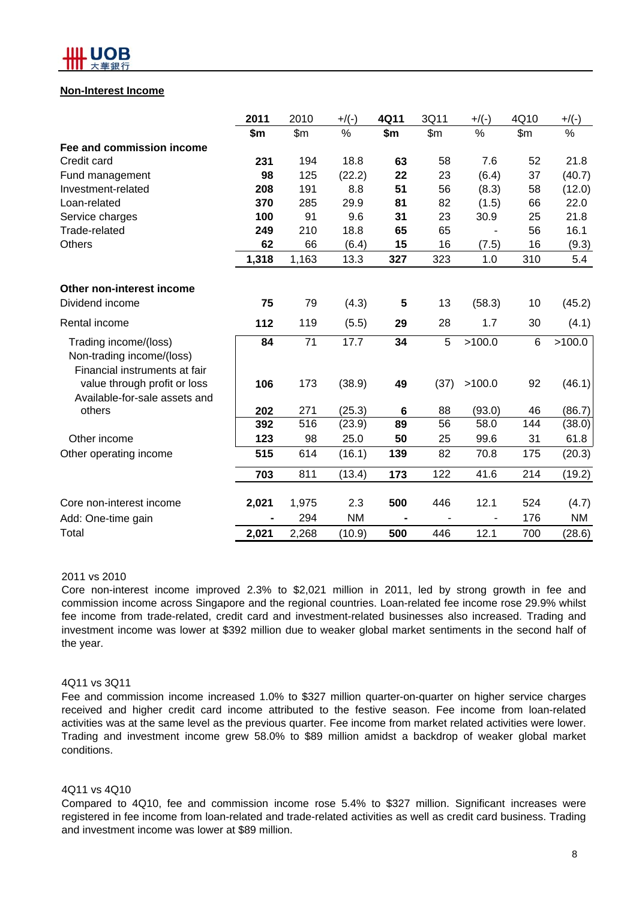

### **Non-Interest Income**

|                                                                                     | 2011  | 2010  | $+$ /(-)  | 4Q11            | 3Q11  | $+$ /(-) | 4Q10  | $+$ /(-) |
|-------------------------------------------------------------------------------------|-------|-------|-----------|-----------------|-------|----------|-------|----------|
|                                                                                     | \$m   | \$m\$ | $\%$      | \$m             | \$m\$ | %        | \$m\$ | %        |
| Fee and commission income                                                           |       |       |           |                 |       |          |       |          |
| Credit card                                                                         | 231   | 194   | 18.8      | 63              | 58    | 7.6      | 52    | 21.8     |
| Fund management                                                                     | 98    | 125   | (22.2)    | 22              | 23    | (6.4)    | 37    | (40.7)   |
| Investment-related                                                                  | 208   | 191   | 8.8       | 51              | 56    | (8.3)    | 58    | (12.0)   |
| Loan-related                                                                        | 370   | 285   | 29.9      | 81              | 82    | (1.5)    | 66    | 22.0     |
| Service charges                                                                     | 100   | 91    | 9.6       | 31              | 23    | 30.9     | 25    | 21.8     |
| Trade-related                                                                       | 249   | 210   | 18.8      | 65              | 65    |          | 56    | 16.1     |
| <b>Others</b>                                                                       | 62    | 66    | (6.4)     | 15              | 16    | (7.5)    | 16    | (9.3)    |
|                                                                                     | 1,318 | 1,163 | 13.3      | 327             | 323   | 1.0      | 310   | 5.4      |
| Other non-interest income                                                           |       |       |           |                 |       |          |       |          |
| Dividend income                                                                     | 75    | 79    | (4.3)     | 5               | 13    | (58.3)   | 10    | (45.2)   |
| Rental income                                                                       | 112   | 119   | (5.5)     | 29              | 28    | 1.7      | 30    | (4.1)    |
| Trading income/(loss)<br>Non-trading income/(loss)<br>Financial instruments at fair | 84    | 71    | 17.7      | 34              | 5     | >100.0   | 6     | >100.0   |
| value through profit or loss<br>Available-for-sale assets and                       | 106   | 173   | (38.9)    | 49              | (37)  | >100.0   | 92    | (46.1)   |
| others                                                                              | 202   | 271   | (25.3)    | $6\phantom{1}6$ | 88    | (93.0)   | 46    | (86.7)   |
|                                                                                     | 392   | 516   | (23.9)    | 89              | 56    | 58.0     | 144   | (38.0)   |
| Other income                                                                        | 123   | 98    | 25.0      | 50              | 25    | 99.6     | 31    | 61.8     |
| Other operating income                                                              | 515   | 614   | (16.1)    | 139             | 82    | 70.8     | 175   | (20.3)   |
|                                                                                     | 703   | 811   | (13.4)    | 173             | 122   | 41.6     | 214   | (19.2)   |
| Core non-interest income                                                            | 2,021 | 1,975 | 2.3       | 500             | 446   | 12.1     | 524   | (4.7)    |
| Add: One-time gain                                                                  |       | 294   | <b>NM</b> |                 |       |          | 176   | ΝM       |
| Total                                                                               | 2,021 | 2,268 | (10.9)    | 500             | 446   | 12.1     | 700   | (28.6)   |

#### 2011 vs 2010

Core non-interest income improved 2.3% to \$2,021 million in 2011, led by strong growth in fee and commission income across Singapore and the regional countries. Loan-related fee income rose 29.9% whilst fee income from trade-related, credit card and investment-related businesses also increased. Trading and investment income was lower at \$392 million due to weaker global market sentiments in the second half of the year.

#### 4Q11 vs 3Q11

Fee and commission income increased 1.0% to \$327 million quarter-on-quarter on higher service charges received and higher credit card income attributed to the festive season. Fee income from loan-related activities was at the same level as the previous quarter. Fee income from market related activities were lower. Trading and investment income grew 58.0% to \$89 million amidst a backdrop of weaker global market conditions.

#### 4Q11 vs 4Q10

Compared to 4Q10, fee and commission income rose 5.4% to \$327 million. Significant increases were registered in fee income from loan-related and trade-related activities as well as credit card business. Trading and investment income was lower at \$89 million.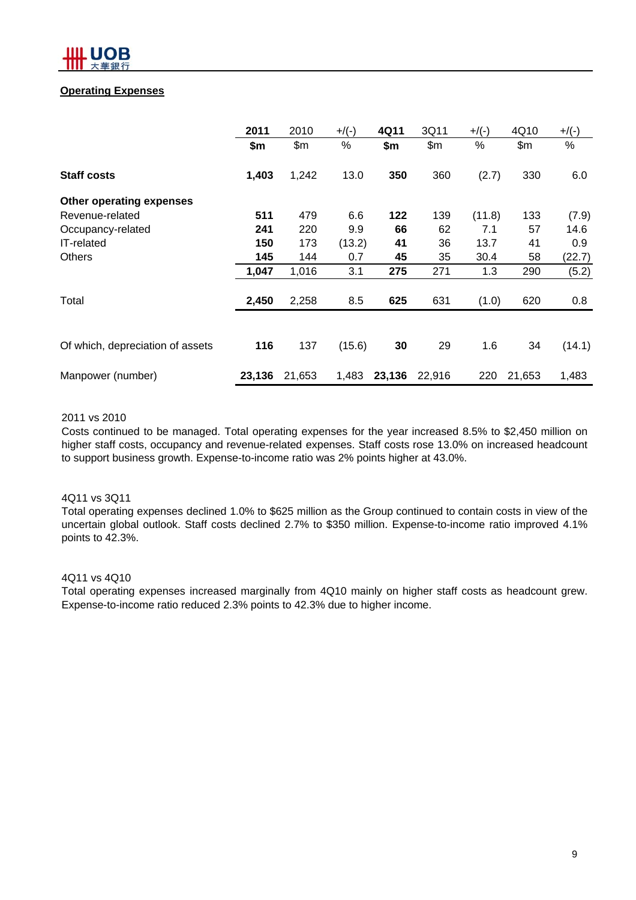

# **Operating Expenses**

|                                  | 2011   | 2010   | $+$ /(-) | 4Q11   | 3Q11   | $+$ /(-) | 4Q10   | $+$ /(-) |
|----------------------------------|--------|--------|----------|--------|--------|----------|--------|----------|
|                                  | \$m    | \$m\$  | %        | \$m    | \$m\$  | %        | \$m\$  | %        |
| <b>Staff costs</b>               | 1,403  | 1,242  | 13.0     | 350    | 360    | (2.7)    | 330    | 6.0      |
| Other operating expenses         |        |        |          |        |        |          |        |          |
| Revenue-related                  | 511    | 479    | 6.6      | 122    | 139    | (11.8)   | 133    | (7.9)    |
| Occupancy-related                | 241    | 220    | 9.9      | 66     | 62     | 7.1      | 57     | 14.6     |
| IT-related                       | 150    | 173    | (13.2)   | 41     | 36     | 13.7     | 41     | 0.9      |
| <b>Others</b>                    | 145    | 144    | 0.7      | 45     | 35     | 30.4     | 58     | (22.7)   |
|                                  | 1,047  | 1,016  | 3.1      | 275    | 271    | 1.3      | 290    | (5.2)    |
| Total                            | 2,450  | 2,258  | 8.5      | 625    | 631    | (1.0)    | 620    | 0.8      |
|                                  |        |        |          |        |        |          |        |          |
| Of which, depreciation of assets | 116    | 137    | (15.6)   | 30     | 29     | 1.6      | 34     | (14.1)   |
| Manpower (number)                | 23,136 | 21,653 | 1,483    | 23,136 | 22,916 | 220      | 21,653 | 1,483    |

#### 2011 vs 2010

Costs continued to be managed. Total operating expenses for the year increased 8.5% to \$2,450 million on higher staff costs, occupancy and revenue-related expenses. Staff costs rose 13.0% on increased headcount to support business growth. Expense-to-income ratio was 2% points higher at 43.0%.

#### 4Q11 vs 3Q11

Total operating expenses declined 1.0% to \$625 million as the Group continued to contain costs in view of the uncertain global outlook. Staff costs declined 2.7% to \$350 million. Expense-to-income ratio improved 4.1% points to 42.3%.

#### 4Q11 vs 4Q10

Total operating expenses increased marginally from 4Q10 mainly on higher staff costs as headcount grew. Expense-to-income ratio reduced 2.3% points to 42.3% due to higher income.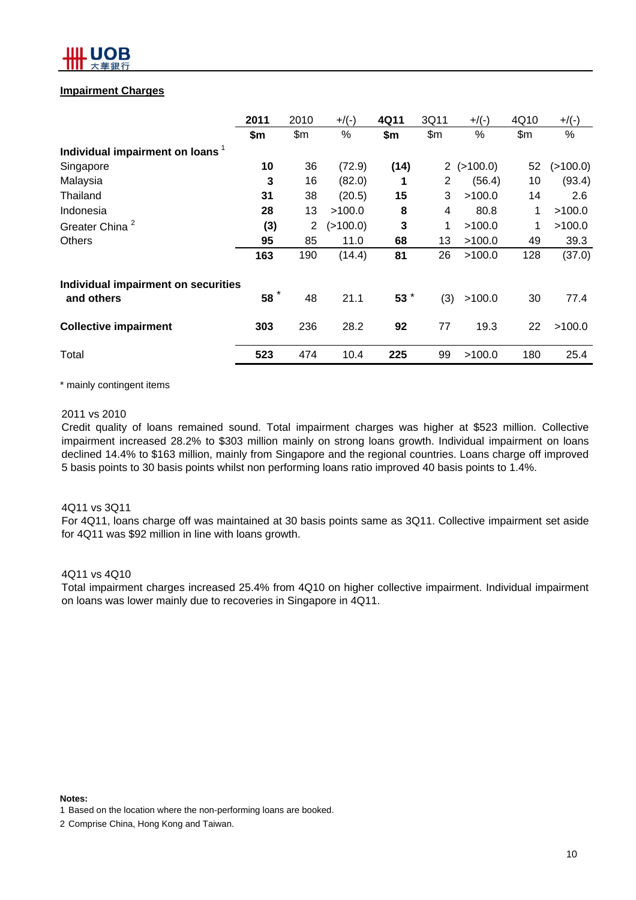# **IOB**

# **Impairment Charges**

|                                             | 2011 | 2010  | $+$ /(-) | 4Q11   | 3Q11           | $+$ /(-) | 4Q10  | $+$ /(-) |
|---------------------------------------------|------|-------|----------|--------|----------------|----------|-------|----------|
|                                             | \$m  | \$m\$ | $\%$     | \$m\$  | \$m\$          | %        | \$m\$ | %        |
| Individual impairment on loans <sup>1</sup> |      |       |          |        |                |          |       |          |
| Singapore                                   | 10   | 36    | (72.9)   | (14)   | $\overline{2}$ | (>100.0) | 52    | (>100.0) |
| Malaysia                                    | 3    | 16    | (82.0)   | 1      | 2              | (56.4)   | 10    | (93.4)   |
| Thailand                                    | 31   | 38    | (20.5)   | 15     | 3              | >100.0   | 14    | 2.6      |
| Indonesia                                   | 28   | 13    | >100.0   | 8      | 4              | 80.8     | 1     | >100.0   |
| Greater China <sup>2</sup>                  | (3)  | 2     | (>100.0) | 3      | 1              | >100.0   | 1     | >100.0   |
| <b>Others</b>                               | 95   | 85    | 11.0     | 68     | 13             | >100.0   | 49    | 39.3     |
|                                             | 163  | 190   | (14.4)   | 81     | 26             | >100.0   | 128   | (37.0)   |
| Individual impairment on securities         |      |       |          |        |                |          |       |          |
| and others                                  | 58   | 48    | 21.1     | 53 $*$ | (3)            | >100.0   | 30    | 77.4     |
| <b>Collective impairment</b>                | 303  | 236   | 28.2     | 92     | 77             | 19.3     | 22    | >100.0   |
| Total                                       | 523  | 474   | 10.4     | 225    | 99             | >100.0   | 180   | 25.4     |

\* mainly contingent items

#### 2011 vs 2010

Credit quality of loans remained sound. Total impairment charges was higher at \$523 million. Collective impairment increased 28.2% to \$303 million mainly on strong loans growth. Individual impairment on loans declined 14.4% to \$163 million, mainly from Singapore and the regional countries. Loans charge off improved 5 basis points to 30 basis points whilst non performing loans ratio improved 40 basis points to 1.4%.

#### 4Q11 vs 3Q11

For 4Q11, loans charge off was maintained at 30 basis points same as 3Q11. Collective impairment set aside for 4Q11 was \$92 million in line with loans growth.

#### 4Q11 vs 4Q10

Total impairment charges increased 25.4% from 4Q10 on higher collective impairment. Individual impairment on loans was lower mainly due to recoveries in Singapore in 4Q11.

#### **Notes:**

<sup>1</sup> Based on the location where the non-performing loans are booked.

<sup>2</sup> Comprise China, Hong Kong and Taiwan.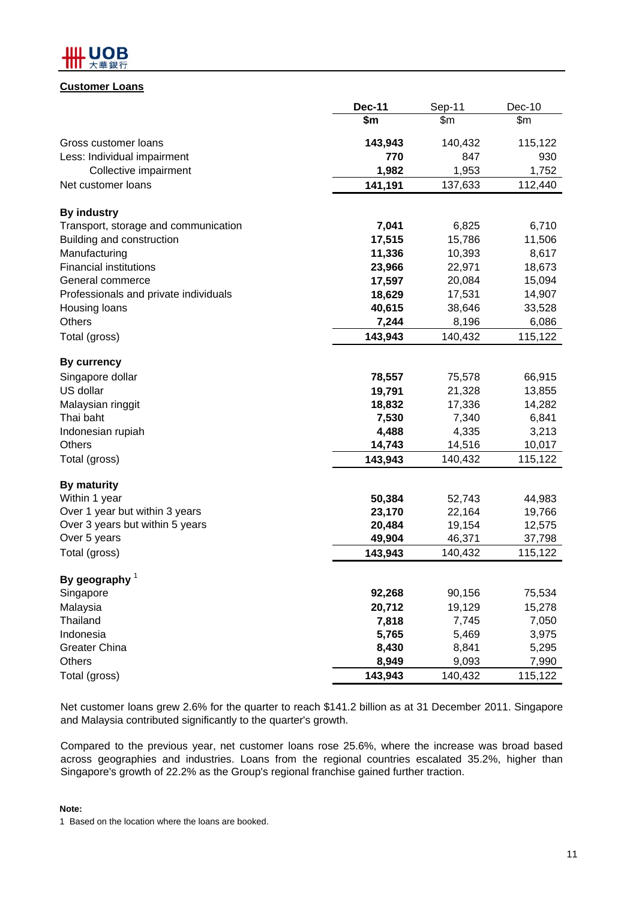

#### **Customer Loans**

|                                       | <b>Dec-11</b> | Sep-11  | <b>Dec-10</b> |
|---------------------------------------|---------------|---------|---------------|
|                                       | \$m           | \$m     | \$m           |
| Gross customer loans                  | 143,943       | 140,432 | 115,122       |
| Less: Individual impairment           | 770           | 847     | 930           |
| Collective impairment                 | 1,982         | 1,953   | 1,752         |
| Net customer loans                    | 141,191       | 137,633 | 112,440       |
| <b>By industry</b>                    |               |         |               |
| Transport, storage and communication  | 7,041         | 6,825   | 6,710         |
| Building and construction             | 17,515        | 15,786  | 11,506        |
| Manufacturing                         | 11,336        | 10,393  | 8,617         |
| <b>Financial institutions</b>         | 23,966        | 22,971  | 18,673        |
| General commerce                      | 17,597        | 20,084  | 15,094        |
| Professionals and private individuals | 18,629        | 17,531  | 14,907        |
| Housing loans                         | 40,615        | 38,646  | 33,528        |
| <b>Others</b>                         | 7,244         | 8,196   | 6,086         |
| Total (gross)                         | 143,943       | 140,432 | 115,122       |
| <b>By currency</b>                    |               |         |               |
| Singapore dollar                      | 78,557        | 75,578  | 66,915        |
| US dollar                             | 19,791        | 21,328  | 13,855        |
| Malaysian ringgit                     | 18,832        | 17,336  | 14,282        |
| Thai baht                             | 7,530         | 7,340   | 6,841         |
| Indonesian rupiah                     | 4,488         | 4,335   | 3,213         |
| <b>Others</b>                         | 14,743        | 14,516  | 10,017        |
| Total (gross)                         | 143,943       | 140,432 | 115,122       |
| By maturity                           |               |         |               |
| Within 1 year                         | 50,384        | 52,743  | 44,983        |
| Over 1 year but within 3 years        | 23,170        | 22,164  | 19,766        |
| Over 3 years but within 5 years       | 20,484        | 19,154  | 12,575        |
| Over 5 years                          | 49,904        | 46,371  | 37,798        |
| Total (gross)                         | 143,943       | 140,432 | 115,122       |
| By geography $1$                      |               |         |               |
| Singapore                             | 92,268        | 90,156  | 75,534        |
| Malaysia                              | 20,712        | 19,129  | 15,278        |
| Thailand                              | 7,818         | 7,745   | 7,050         |
| Indonesia                             | 5,765         | 5,469   | 3,975         |
| <b>Greater China</b>                  | 8,430         | 8,841   | 5,295         |
| <b>Others</b>                         | 8,949         | 9,093   | 7,990         |
| Total (gross)                         | 143,943       | 140,432 | 115,122       |

Net customer loans grew 2.6% for the quarter to reach \$141.2 billion as at 31 December 2011. Singapore and Malaysia contributed significantly to the quarter's growth.

Compared to the previous year, net customer loans rose 25.6%, where the increase was broad based across geographies and industries. Loans from the regional countries escalated 35.2%, higher than Singapore's growth of 22.2% as the Group's regional franchise gained further traction.

#### **Note:**

1 Based on the location where the loans are booked.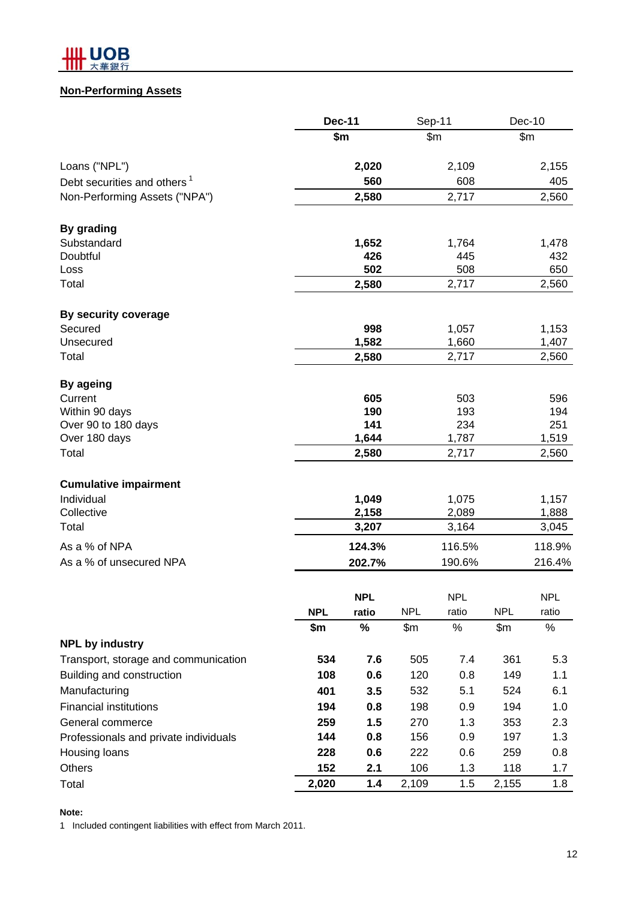

# **Non-Performing Assets**

|                                         | <b>Dec-11</b> |            | Sep-11     |            |            | Dec-10     |
|-----------------------------------------|---------------|------------|------------|------------|------------|------------|
|                                         | \$m           |            | \$m\$      |            | \$m\$      |            |
| Loans ("NPL")                           |               | 2,020      |            | 2,109      |            | 2,155      |
| Debt securities and others <sup>1</sup> |               | 560        |            | 608        |            | 405        |
| Non-Performing Assets ("NPA")           |               | 2,580      |            | 2,717      |            | 2,560      |
| By grading                              |               |            |            |            |            |            |
| Substandard                             |               | 1,652      |            | 1,764      |            | 1,478      |
| Doubtful                                |               | 426        |            | 445        |            | 432        |
| Loss                                    |               | 502        |            | 508        |            | 650        |
| Total                                   |               | 2,580      |            | 2,717      |            | 2,560      |
| By security coverage                    |               |            |            |            |            |            |
| Secured                                 |               | 998        |            | 1,057      |            | 1,153      |
| Unsecured                               |               | 1,582      |            | 1,660      |            | 1,407      |
| Total                                   |               | 2,580      |            | 2,717      |            | 2,560      |
| <b>By ageing</b>                        |               |            |            |            |            |            |
| Current                                 |               | 605<br>190 |            | 503<br>193 |            | 596<br>194 |
| Within 90 days<br>Over 90 to 180 days   |               | 141        |            | 234        |            | 251        |
| Over 180 days                           |               | 1,644      |            | 1,787      |            | 1,519      |
| Total                                   |               | 2,580      |            | 2,717      |            | 2,560      |
| <b>Cumulative impairment</b>            |               |            |            |            |            |            |
| Individual                              |               | 1,049      |            | 1,075      |            | 1,157      |
| Collective                              |               | 2,158      |            | 2,089      |            | 1,888      |
| Total                                   |               | 3,207      |            | 3,164      |            | 3,045      |
| As a % of NPA                           |               | 124.3%     |            | 116.5%     |            | 118.9%     |
| As a % of unsecured NPA                 |               | 202.7%     |            | 190.6%     |            | 216.4%     |
|                                         |               | <b>NPL</b> |            | <b>NPL</b> |            | <b>NPL</b> |
|                                         | <b>NPL</b>    | ratio      | <b>NPL</b> | ratio      | <b>NPL</b> | ratio      |
|                                         | \$m           | $\%$       | \$m\$      | %          | \$m\$      | %          |
| <b>NPL by industry</b>                  |               |            |            |            |            |            |
| Transport, storage and communication    | 534           | 7.6        | 505        | 7.4        | 361        | 5.3        |
| Building and construction               | 108           | 0.6        | 120        | 0.8        | 149        | 1.1        |
| Manufacturing                           | 401           | 3.5        | 532        | 5.1        | 524        | 6.1        |
| <b>Financial institutions</b>           | 194           | 0.8        | 198        | 0.9        | 194        | 1.0        |
| General commerce                        | 259           | 1.5        | 270        | 1.3        | 353        | 2.3        |
| Professionals and private individuals   | 144           | 0.8        | 156        | 0.9        | 197        | 1.3        |
| Housing loans                           | 228           | 0.6        | 222        | 0.6        | 259        | 0.8        |
| Others                                  | 152           | 2.1        | 106        | 1.3        | 118        | 1.7        |
| Total                                   | 2,020         | 1.4        | 2,109      | 1.5        | 2,155      | 1.8        |

#### **Note:**

1 Included contingent liabilities with effect from March 2011.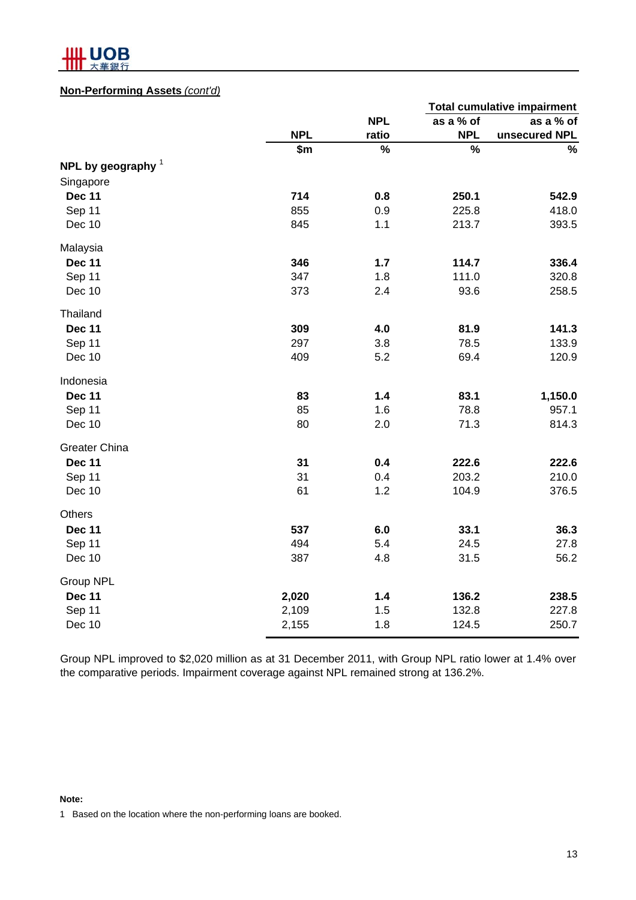

#### **Non-Performing Assets** *(cont'd)*

|                      |            |            | <b>Total cumulative impairment</b> |               |  |  |
|----------------------|------------|------------|------------------------------------|---------------|--|--|
|                      |            | <b>NPL</b> | as a % of                          | as a % of     |  |  |
|                      | <b>NPL</b> | ratio      | <b>NPL</b>                         | unsecured NPL |  |  |
|                      | \$m\$      | $\%$       | $\%$                               | $\%$          |  |  |
| NPL by geography $1$ |            |            |                                    |               |  |  |
| Singapore            |            |            |                                    |               |  |  |
| <b>Dec 11</b>        | 714        | 0.8        | 250.1                              | 542.9         |  |  |
| Sep 11               | 855        | 0.9        | 225.8                              | 418.0         |  |  |
| <b>Dec 10</b>        | 845        | 1.1        | 213.7                              | 393.5         |  |  |
| Malaysia             |            |            |                                    |               |  |  |
| <b>Dec 11</b>        | 346        | 1.7        | 114.7                              | 336.4         |  |  |
| Sep 11               | 347        | 1.8        | 111.0                              | 320.8         |  |  |
| Dec 10               | 373        | 2.4        | 93.6                               | 258.5         |  |  |
| Thailand             |            |            |                                    |               |  |  |
| <b>Dec 11</b>        | 309        | 4.0        | 81.9                               | 141.3         |  |  |
| Sep 11               | 297        | 3.8        | 78.5                               | 133.9         |  |  |
| Dec 10               | 409        | 5.2        | 69.4                               | 120.9         |  |  |
| Indonesia            |            |            |                                    |               |  |  |
| <b>Dec 11</b>        | 83         | $1.4$      | 83.1                               | 1,150.0       |  |  |
| Sep 11               | 85         | 1.6        | 78.8                               | 957.1         |  |  |
| Dec 10               | 80         | 2.0        | 71.3                               | 814.3         |  |  |
| <b>Greater China</b> |            |            |                                    |               |  |  |
| <b>Dec 11</b>        | 31         | 0.4        | 222.6                              | 222.6         |  |  |
| Sep 11               | 31         | 0.4        | 203.2                              | 210.0         |  |  |
| Dec 10               | 61         | 1.2        | 104.9                              | 376.5         |  |  |
| <b>Others</b>        |            |            |                                    |               |  |  |
| <b>Dec 11</b>        | 537        | 6.0        | 33.1                               | 36.3          |  |  |
| Sep 11               | 494        | 5.4        | 24.5                               | 27.8          |  |  |
| <b>Dec 10</b>        | 387        | 4.8        | 31.5                               | 56.2          |  |  |
| Group NPL            |            |            |                                    |               |  |  |
| <b>Dec 11</b>        | 2,020      | $1.4$      | 136.2                              | 238.5         |  |  |
| Sep 11               | 2,109      | 1.5        | 132.8                              | 227.8         |  |  |
| Dec 10               | 2,155      | 1.8        | 124.5                              | 250.7         |  |  |

Group NPL improved to \$2,020 million as at 31 December 2011, with Group NPL ratio lower at 1.4% over the comparative periods. Impairment coverage against NPL remained strong at 136.2%.

#### **Note:**

1 Based on the location where the non-performing loans are booked.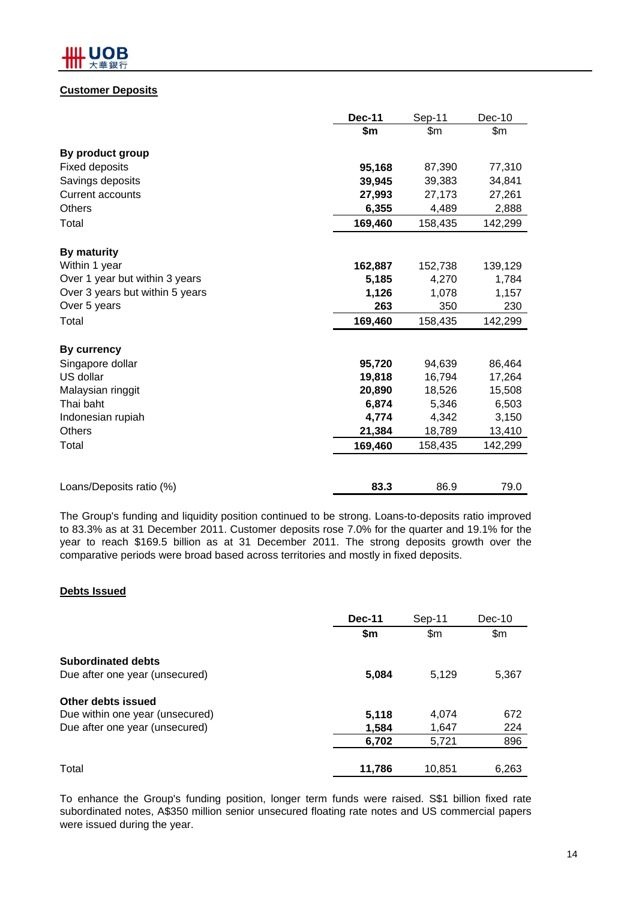

#### **Customer Deposits**

|                                 | <b>Dec-11</b> | Sep-11  | $Dec-10$ |
|---------------------------------|---------------|---------|----------|
|                                 | \$m           | \$m     | \$m\$    |
| By product group                |               |         |          |
| <b>Fixed deposits</b>           | 95,168        | 87,390  | 77,310   |
| Savings deposits                | 39,945        | 39,383  | 34,841   |
| <b>Current accounts</b>         | 27,993        | 27,173  | 27,261   |
| <b>Others</b>                   | 6,355         | 4,489   | 2,888    |
| Total                           | 169,460       | 158,435 | 142,299  |
| By maturity                     |               |         |          |
| Within 1 year                   | 162,887       | 152,738 | 139,129  |
| Over 1 year but within 3 years  | 5,185         | 4,270   | 1,784    |
| Over 3 years but within 5 years | 1,126         | 1,078   | 1,157    |
| Over 5 years                    | 263           | 350     | 230      |
| Total                           | 169,460       | 158,435 | 142,299  |
| <b>By currency</b>              |               |         |          |
| Singapore dollar                | 95,720        | 94,639  | 86,464   |
| US dollar                       | 19,818        | 16,794  | 17,264   |
| Malaysian ringgit               | 20,890        | 18,526  | 15,508   |
| Thai baht                       | 6,874         | 5,346   | 6,503    |
| Indonesian rupiah               | 4,774         | 4,342   | 3,150    |
| Others                          | 21,384        | 18,789  | 13,410   |
| Total                           | 169,460       | 158,435 | 142,299  |
|                                 |               |         |          |
| Loans/Deposits ratio (%)        | 83.3          | 86.9    | 79.0     |

The Group's funding and liquidity position continued to be strong. Loans-to-deposits ratio improved to 83.3% as at 31 December 2011. Customer deposits rose 7.0% for the quarter and 19.1% for the year to reach \$169.5 billion as at 31 December 2011. The strong deposits growth over the comparative periods were broad based across territories and mostly in fixed deposits.

#### **Debts Issued**

|                                 | <b>Dec-11</b> | Sep-11 |               |
|---------------------------------|---------------|--------|---------------|
|                                 | \$m           | \$m    | $\mathsf{Sm}$ |
| <b>Subordinated debts</b>       |               |        |               |
| Due after one year (unsecured)  | 5,084         | 5.129  | 5,367         |
| Other debts issued              |               |        |               |
| Due within one year (unsecured) | 5,118         | 4,074  | 672           |
| Due after one year (unsecured)  | 1,584         | 1,647  | 224           |
|                                 | 6,702         | 5,721  | 896           |
| Total                           | 11,786        | 10,851 | 6,263         |

To enhance the Group's funding position, longer term funds were raised. S\$1 billion fixed rate subordinated notes, A\$350 million senior unsecured floating rate notes and US commercial papers were issued during the year.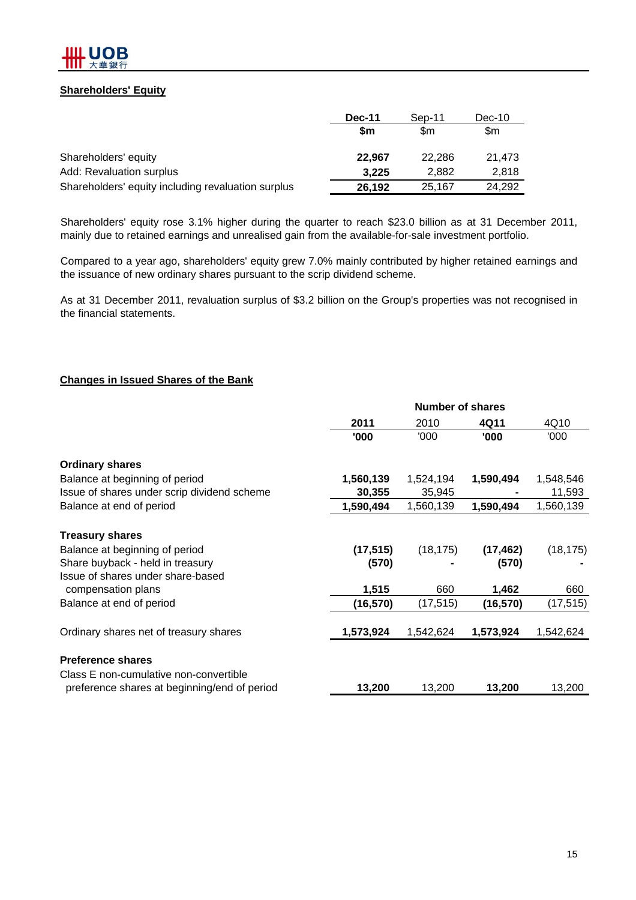

#### **Shareholders' Equity**

|                                                    | <b>Dec-11</b> | Sep-11 | Dec-10 |
|----------------------------------------------------|---------------|--------|--------|
|                                                    | \$m           | \$m    | \$m    |
| Shareholders' equity                               | 22.967        | 22.286 | 21.473 |
| Add: Revaluation surplus                           | 3.225         | 2.882  | 2.818  |
| Shareholders' equity including revaluation surplus | 26,192        | 25,167 | 24.292 |

Shareholders' equity rose 3.1% higher during the quarter to reach \$23.0 billion as at 31 December 2011, mainly due to retained earnings and unrealised gain from the available-for-sale investment portfolio.

Compared to a year ago, shareholders' equity grew 7.0% mainly contributed by higher retained earnings and the issuance of new ordinary shares pursuant to the scrip dividend scheme.

As at 31 December 2011, revaluation surplus of \$3.2 billion on the Group's properties was not recognised in the financial statements.

# **Changes in Issued Shares of the Bank**

|                                                                                        | <b>Number of shares</b> |           |           |           |  |  |
|----------------------------------------------------------------------------------------|-------------------------|-----------|-----------|-----------|--|--|
|                                                                                        | 2011                    | 2010      | 4Q11      | 4Q10      |  |  |
|                                                                                        | '000                    | '000      | '000      | '000'     |  |  |
| <b>Ordinary shares</b>                                                                 |                         |           |           |           |  |  |
| Balance at beginning of period                                                         | 1,560,139               | 1,524,194 | 1,590,494 | 1,548,546 |  |  |
| Issue of shares under scrip dividend scheme                                            | 30,355                  | 35,945    |           | 11,593    |  |  |
| Balance at end of period                                                               | 1,590,494               | 1,560,139 | 1,590,494 | 1,560,139 |  |  |
| <b>Treasury shares</b>                                                                 |                         |           |           |           |  |  |
| Balance at beginning of period                                                         | (17, 515)               | (18, 175) | (17, 462) | (18, 175) |  |  |
| Share buyback - held in treasury                                                       | (570)                   |           | (570)     |           |  |  |
| Issue of shares under share-based                                                      |                         |           |           |           |  |  |
| compensation plans                                                                     | 1,515                   | 660       | 1,462     | 660       |  |  |
| Balance at end of period                                                               | (16,570)                | (17, 515) | (16, 570) | (17, 515) |  |  |
| Ordinary shares net of treasury shares                                                 | 1,573,924               | 1,542,624 | 1,573,924 | 1,542,624 |  |  |
| <b>Preference shares</b>                                                               |                         |           |           |           |  |  |
|                                                                                        |                         |           |           |           |  |  |
| Class E non-cumulative non-convertible<br>preference shares at beginning/end of period | 13,200                  | 13,200    | 13,200    | 13,200    |  |  |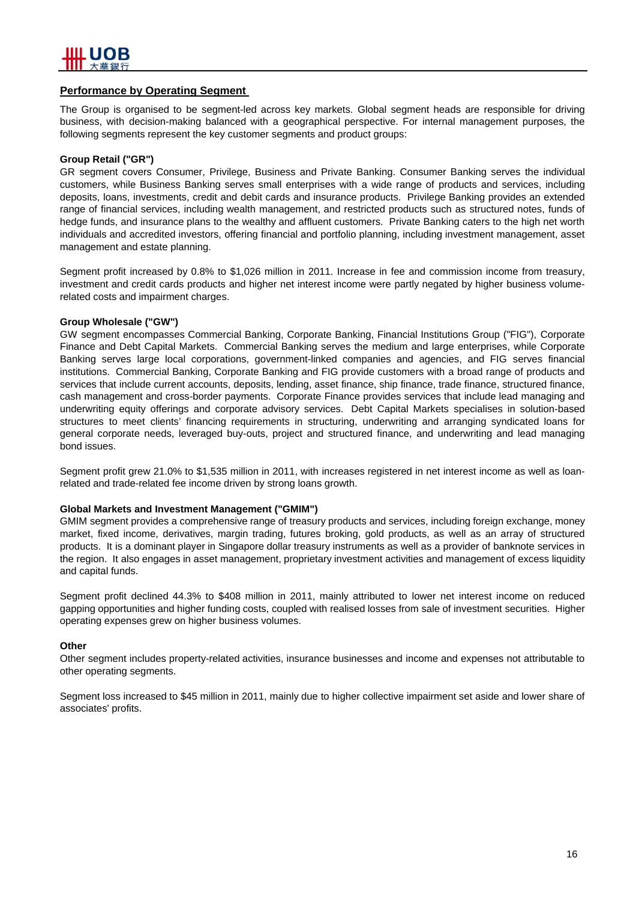

#### **Performance by Operating Segment**

The Group is organised to be segment-led across key markets. Global segment heads are responsible for driving business, with decision-making balanced with a geographical perspective. For internal management purposes, the following segments represent the key customer segments and product groups:

#### **Group Retail ("GR")**

GR segment covers Consumer, Privilege, Business and Private Banking. Consumer Banking serves the individual customers, while Business Banking serves small enterprises with a wide range of products and services, including deposits, loans, investments, credit and debit cards and insurance products. Privilege Banking provides an extended range of financial services, including wealth management, and restricted products such as structured notes, funds of hedge funds, and insurance plans to the wealthy and affluent customers. Private Banking caters to the high net worth individuals and accredited investors, offering financial and portfolio planning, including investment management, asset management and estate planning.

Segment profit increased by 0.8% to \$1,026 million in 2011. Increase in fee and commission income from treasury, investment and credit cards products and higher net interest income were partly negated by higher business volumerelated costs and impairment charges.

#### **Group Wholesale ("GW")**

GW segment encompasses Commercial Banking, Corporate Banking, Financial Institutions Group ("FIG"), Corporate Finance and Debt Capital Markets. Commercial Banking serves the medium and large enterprises, while Corporate Banking serves large local corporations, government-linked companies and agencies, and FIG serves financial institutions. Commercial Banking, Corporate Banking and FIG provide customers with a broad range of products and services that include current accounts, deposits, lending, asset finance, ship finance, trade finance, structured finance, cash management and cross-border payments. Corporate Finance provides services that include lead managing and underwriting equity offerings and corporate advisory services. Debt Capital Markets specialises in solution-based structures to meet clients' financing requirements in structuring, underwriting and arranging syndicated loans for general corporate needs, leveraged buy-outs, project and structured finance, and underwriting and lead managing bond issues.

Segment profit grew 21.0% to \$1,535 million in 2011, with increases registered in net interest income as well as loanrelated and trade-related fee income driven by strong loans growth.

#### **Global Markets and Investment Management ("GMIM")**

GMIM segment provides a comprehensive range of treasury products and services, including foreign exchange, money market, fixed income, derivatives, margin trading, futures broking, gold products, as well as an array of structured products. It is a dominant player in Singapore dollar treasury instruments as well as a provider of banknote services in the region. It also engages in asset management, proprietary investment activities and management of excess liquidity and capital funds.

Segment profit declined 44.3% to \$408 million in 2011, mainly attributed to lower net interest income on reduced gapping opportunities and higher funding costs, coupled with realised losses from sale of investment securities. Higher operating expenses grew on higher business volumes.

#### **Other**

Other segment includes property-related activities, insurance businesses and income and expenses not attributable to other operating segments.

Segment loss increased to \$45 million in 2011, mainly due to higher collective impairment set aside and lower share of associates' profits.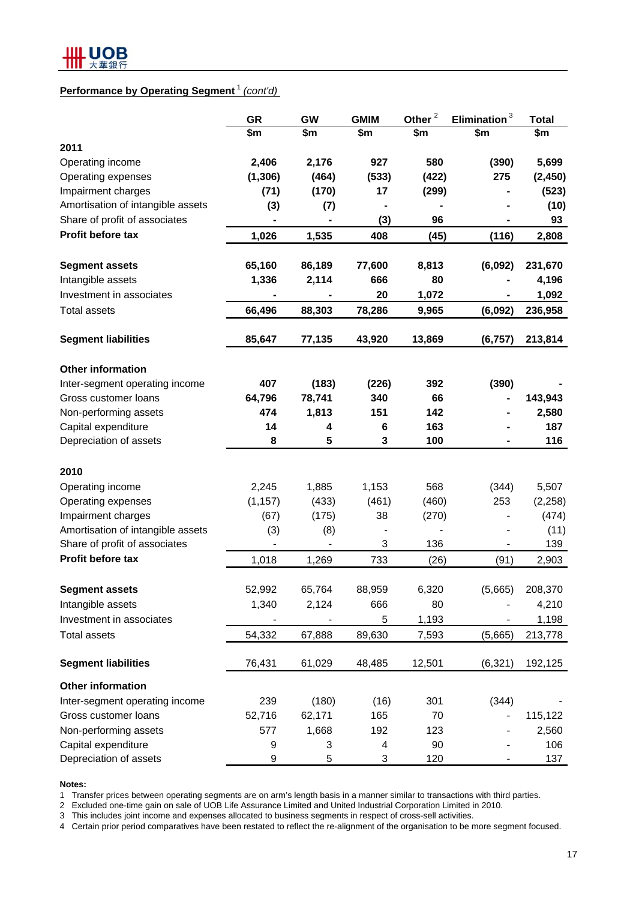# **Performance by Operating Segment** <sup>1</sup> *(cont'd)*

|                                   | <b>GR</b> | GW     | <b>GMIM</b> | Other $^2$ | Elimination <sup>3</sup> | <b>Total</b> |
|-----------------------------------|-----------|--------|-------------|------------|--------------------------|--------------|
|                                   | \$m       | \$m    | \$m         | \$m        | \$m                      | \$m          |
| 2011                              |           |        |             |            |                          |              |
| Operating income                  | 2,406     | 2,176  | 927         | 580        | (390)                    | 5,699        |
| Operating expenses                | (1, 306)  | (464)  | (533)       | (422)      | 275                      | (2, 450)     |
| Impairment charges                | (71)      | (170)  | 17          | (299)      |                          | (523)        |
| Amortisation of intangible assets | (3)       | (7)    |             |            |                          | (10)         |
| Share of profit of associates     |           |        | (3)         | 96         |                          | 93           |
| Profit before tax                 | 1,026     | 1,535  | 408         | (45)       | (116)                    | 2,808        |
| <b>Segment assets</b>             | 65,160    | 86,189 | 77,600      | 8,813      | (6,092)                  | 231,670      |
| Intangible assets                 | 1,336     | 2,114  | 666         | 80         |                          | 4,196        |
| Investment in associates          |           |        | 20          | 1,072      |                          | 1,092        |
| <b>Total assets</b>               | 66,496    | 88,303 | 78,286      | 9,965      | (6,092)                  | 236,958      |
| <b>Segment liabilities</b>        | 85,647    | 77,135 | 43,920      | 13,869     | (6, 757)                 | 213,814      |
| <b>Other information</b>          |           |        |             |            |                          |              |
| Inter-segment operating income    | 407       | (183)  | (226)       | 392        | (390)                    |              |
| Gross customer loans              | 64,796    | 78,741 | 340         | 66         |                          | 143,943      |
| Non-performing assets             | 474       | 1,813  | 151         | 142        |                          | 2,580        |
| Capital expenditure               | 14        | 4      | 6           | 163        |                          | 187          |
| Depreciation of assets            | 8         | 5      | 3           | 100        |                          | 116          |
| 2010                              |           |        |             |            |                          |              |
| Operating income                  | 2,245     | 1,885  | 1,153       | 568        | (344)                    | 5,507        |
| Operating expenses                | (1, 157)  | (433)  | (461)       | (460)      | 253                      | (2, 258)     |
| Impairment charges                | (67)      | (175)  | 38          | (270)      |                          | (474)        |
| Amortisation of intangible assets | (3)       | (8)    |             |            |                          | (11)         |
| Share of profit of associates     |           |        | 3           | 136        |                          | 139          |
| Profit before tax                 | 1,018     | 1,269  | 733         | (26)       | (91)                     | 2,903        |
| <b>Segment assets</b>             | 52,992    | 65,764 | 88,959      | 6,320      | (5,665)                  | 208,370      |
| Intangible assets                 | 1,340     | 2,124  | 666         | 80         |                          | 4,210        |
| Investment in associates          |           |        | 5           | 1,193      |                          | 1,198        |
|                                   |           |        | 89,630      | 7,593      | (5,665)                  | 213,778      |
| <b>Total assets</b>               | 54,332    | 67,888 |             |            |                          |              |
| <b>Segment liabilities</b>        | 76,431    | 61,029 | 48,485      | 12,501     | (6,321)                  | 192,125      |
| <b>Other information</b>          |           |        |             |            |                          |              |
| Inter-segment operating income    | 239       | (180)  | (16)        | 301        | (344)                    |              |
| Gross customer loans              | 52,716    | 62,171 | 165         | 70         |                          | 115,122      |
| Non-performing assets             | 577       | 1,668  | 192         | 123        |                          | 2,560        |
| Capital expenditure               | 9         | 3      | 4           | 90         |                          | 106          |
| Depreciation of assets            | 9         | 5      | 3           | 120        |                          | 137          |

**Notes:**

1 Transfer prices between operating segments are on arm's length basis in a manner similar to transactions with third parties.

2 Excluded one-time gain on sale of UOB Life Assurance Limited and United Industrial Corporation Limited in 2010.

3 This includes joint income and expenses allocated to business segments in respect of cross-sell activities.

4 Certain prior period comparatives have been restated to reflect the re-alignment of the organisation to be more segment focused.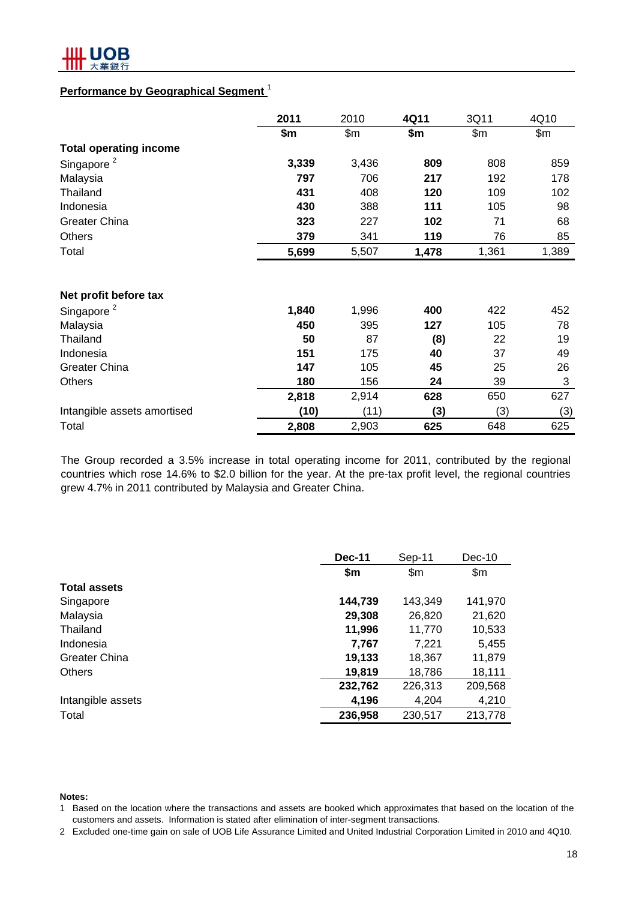

# **Performance by Geographical Segment** <sup>1</sup>

|                               | 2011  | 2010  | 4Q11  | 3Q11  | 4Q10  |
|-------------------------------|-------|-------|-------|-------|-------|
|                               | \$m   | \$m\$ | \$m   | \$m\$ | \$m\$ |
| <b>Total operating income</b> |       |       |       |       |       |
| Singapore <sup>2</sup>        | 3,339 | 3,436 | 809   | 808   | 859   |
| Malaysia                      | 797   | 706   | 217   | 192   | 178   |
| Thailand                      | 431   | 408   | 120   | 109   | 102   |
| Indonesia                     | 430   | 388   | 111   | 105   | 98    |
| <b>Greater China</b>          | 323   | 227   | 102   | 71    | 68    |
| <b>Others</b>                 | 379   | 341   | 119   | 76    | 85    |
| Total                         | 5,699 | 5,507 | 1,478 | 1,361 | 1,389 |
| Net profit before tax         |       |       |       |       |       |
| Singapore <sup>2</sup>        | 1,840 | 1,996 | 400   | 422   | 452   |
| Malaysia                      | 450   | 395   | 127   | 105   | 78    |
| Thailand                      | 50    | 87    | (8)   | 22    | 19    |
| Indonesia                     | 151   | 175   | 40    | 37    | 49    |
| <b>Greater China</b>          | 147   | 105   | 45    | 25    | 26    |
| <b>Others</b>                 | 180   | 156   | 24    | 39    | 3     |
|                               | 2,818 | 2,914 | 628   | 650   | 627   |
| Intangible assets amortised   | (10)  | (11)  | (3)   | (3)   | (3)   |
| Total                         | 2,808 | 2,903 | 625   | 648   | 625   |

The Group recorded a 3.5% increase in total operating income for 2011, contributed by the regional countries which rose 14.6% to \$2.0 billion for the year. At the pre-tax profit level, the regional countries grew 4.7% in 2011 contributed by Malaysia and Greater China.

|                      | <b>Dec-11</b> | Sep-11  | Dec-10        |
|----------------------|---------------|---------|---------------|
|                      | \$m           | \$m\$   | $\mathsf{Sm}$ |
| <b>Total assets</b>  |               |         |               |
| Singapore            | 144,739       | 143,349 | 141,970       |
| Malaysia             | 29,308        | 26,820  | 21,620        |
| Thailand             | 11,996        | 11,770  | 10,533        |
| Indonesia            | 7,767         | 7,221   | 5,455         |
| <b>Greater China</b> | 19,133        | 18,367  | 11,879        |
| <b>Others</b>        | 19,819        | 18,786  | 18,111        |
|                      | 232,762       | 226,313 | 209,568       |
| Intangible assets    | 4,196         | 4,204   | 4,210         |
| Total                | 236,958       | 230,517 | 213,778       |
|                      |               |         |               |

#### **Notes:**

2 Excluded one-time gain on sale of UOB Life Assurance Limited and United Industrial Corporation Limited in 2010 and 4Q10.

<sup>1</sup> Based on the location where the transactions and assets are booked which approximates that based on the location of the customers and assets. Information is stated after elimination of inter-segment transactions.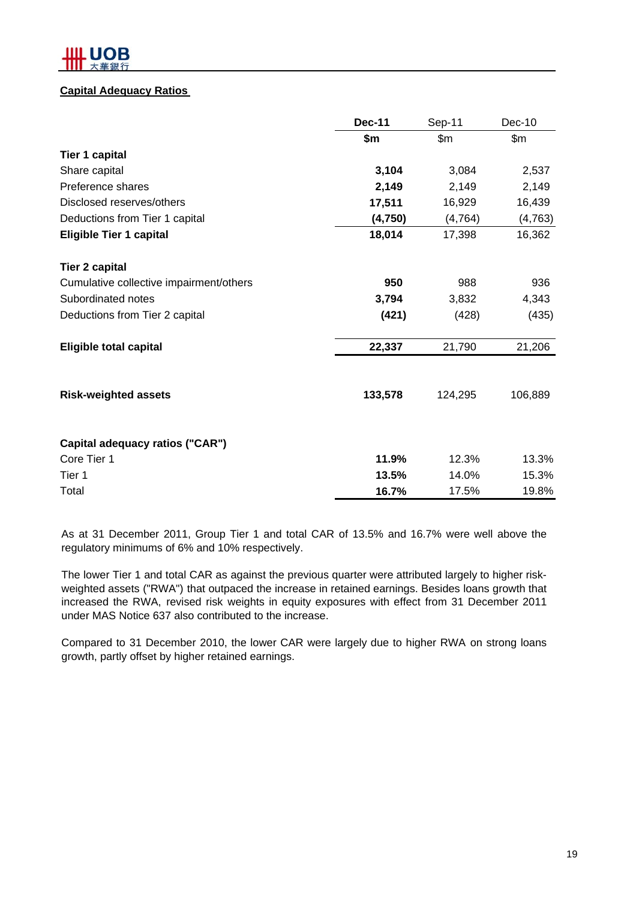

### **Capital Adequacy Ratios**

|                                         | <b>Dec-11</b> | Sep-11   | Dec-10   |
|-----------------------------------------|---------------|----------|----------|
|                                         | \$m           | \$m\$    | \$m\$    |
| <b>Tier 1 capital</b>                   |               |          |          |
| Share capital                           | 3,104         | 3,084    | 2,537    |
| Preference shares                       | 2,149         | 2,149    | 2,149    |
| Disclosed reserves/others               | 17,511        | 16,929   | 16,439   |
| Deductions from Tier 1 capital          | (4,750)       | (4, 764) | (4, 763) |
| <b>Eligible Tier 1 capital</b>          | 18,014        | 17,398   | 16,362   |
| <b>Tier 2 capital</b>                   |               |          |          |
| Cumulative collective impairment/others | 950           | 988      | 936      |
| Subordinated notes                      | 3,794         | 3,832    | 4,343    |
| Deductions from Tier 2 capital          | (421)         | (428)    | (435)    |
| <b>Eligible total capital</b>           | 22,337        | 21,790   | 21,206   |
| <b>Risk-weighted assets</b>             | 133,578       | 124,295  | 106,889  |
| Capital adequacy ratios ("CAR")         |               |          |          |
| Core Tier 1                             | 11.9%         | 12.3%    | 13.3%    |
| Tier 1                                  | 13.5%         | 14.0%    | 15.3%    |
| Total                                   | 16.7%         | 17.5%    | 19.8%    |

As at 31 December 2011, Group Tier 1 and total CAR of 13.5% and 16.7% were well above the regulatory minimums of 6% and 10% respectively.

The lower Tier 1 and total CAR as against the previous quarter were attributed largely to higher riskweighted assets ("RWA") that outpaced the increase in retained earnings. Besides loans growth that increased the RWA, revised risk weights in equity exposures with effect from 31 December 2011 under MAS Notice 637 also contributed to the increase.

Compared to 31 December 2010, the lower CAR were largely due to higher RWA on strong loans growth, partly offset by higher retained earnings.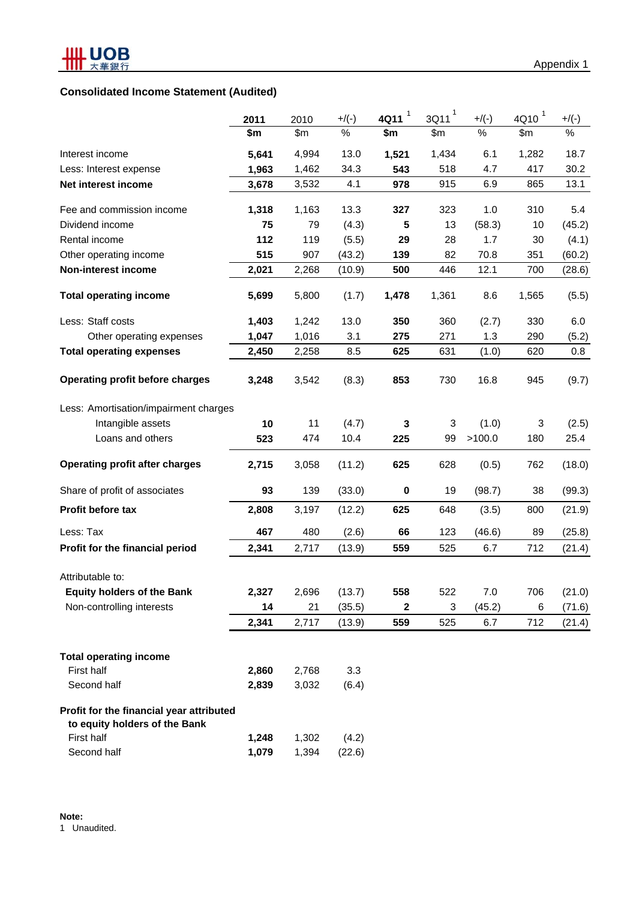# **Consolidated Income Statement (Audited)**

|                                          | 2011           | 2010           | $+$ /(-)        | 1<br>4Q11   | 1<br>3Q11 | $+/(-)$ | $4010$ <sup>1</sup> | $+/(-)$ |
|------------------------------------------|----------------|----------------|-----------------|-------------|-----------|---------|---------------------|---------|
|                                          | \$m            | \$m\$          | $\%$            | \$m         | \$m\$     | $\%$    | \$m\$               | $\%$    |
| Interest income                          | 5,641          | 4,994          | 13.0            | 1,521       | 1,434     | 6.1     | 1,282               | 18.7    |
| Less: Interest expense                   | 1,963          | 1,462          | 34.3            | 543         | 518       | 4.7     | 417                 | 30.2    |
| Net interest income                      | 3,678          | 3,532          | 4.1             | 978         | 915       | 6.9     | 865                 | 13.1    |
| Fee and commission income                | 1,318          | 1,163          | 13.3            | 327         | 323       | 1.0     | 310                 | 5.4     |
| Dividend income                          | 75             | 79             | (4.3)           | 5           | 13        | (58.3)  | 10                  | (45.2)  |
| Rental income                            | 112            | 119            | (5.5)           | 29          | 28        | 1.7     | 30                  | (4.1)   |
| Other operating income                   | 515            | 907            | (43.2)          | 139         | 82        | 70.8    | 351                 | (60.2)  |
| Non-interest income                      | 2,021          | 2,268          | (10.9)          | 500         | 446       | 12.1    | 700                 | (28.6)  |
| <b>Total operating income</b>            | 5,699          | 5,800          | (1.7)           | 1,478       | 1,361     | 8.6     | 1,565               | (5.5)   |
| Less: Staff costs                        | 1,403          | 1,242          | 13.0            | 350         | 360       | (2.7)   | 330                 | 6.0     |
| Other operating expenses                 | 1,047          | 1,016          | 3.1             | 275         | 271       | 1.3     | 290                 | (5.2)   |
| <b>Total operating expenses</b>          | 2,450          | 2,258          | 8.5             | 625         | 631       | (1.0)   | 620                 | 0.8     |
| Operating profit before charges          | 3,248          | 3,542          | (8.3)           | 853         | 730       | 16.8    | 945                 | (9.7)   |
| Less: Amortisation/impairment charges    |                |                |                 |             |           |         |                     |         |
| Intangible assets                        | 10             | 11             | (4.7)           | 3           | 3         | (1.0)   | 3                   | (2.5)   |
| Loans and others                         | 523            | 474            | 10.4            | 225         | 99        | >100.0  | 180                 | 25.4    |
| <b>Operating profit after charges</b>    | 2,715          | 3,058          | (11.2)          | 625         | 628       | (0.5)   | 762                 | (18.0)  |
| Share of profit of associates            | 93             | 139            | (33.0)          | $\pmb{0}$   | 19        | (98.7)  | 38                  | (99.3)  |
| Profit before tax                        | 2,808          | 3,197          | (12.2)          | 625         | 648       | (3.5)   | 800                 | (21.9)  |
| Less: Tax                                | 467            | 480            | (2.6)           | 66          | 123       | (46.6)  | 89                  | (25.8)  |
| Profit for the financial period          | 2,341          | 2,717          | (13.9)          | 559         | 525       | 6.7     | 712                 | (21.4)  |
| Attributable to:                         |                |                |                 |             |           |         |                     |         |
| <b>Equity holders of the Bank</b>        | 2,327          | 2,696          | (13.7)          | 558         | 522       | 7.0     | 706                 | (21.0)  |
| Non-controlling interests                | 14             | 21             | (35.5)          | $\mathbf 2$ | 3         | (45.2)  | 6                   | (71.6)  |
|                                          | 2,341          | 2,717          | (13.9)          | 559         | 525       | 6.7     | 712                 | (21.4)  |
|                                          |                |                |                 |             |           |         |                     |         |
| <b>Total operating income</b>            |                |                |                 |             |           |         |                     |         |
| First half                               | 2,860          | 2,768          | 3.3             |             |           |         |                     |         |
| Second half                              | 2,839          | 3,032          | (6.4)           |             |           |         |                     |         |
| Profit for the financial year attributed |                |                |                 |             |           |         |                     |         |
| to equity holders of the Bank            |                |                |                 |             |           |         |                     |         |
| First half<br>Second half                | 1,248<br>1,079 | 1,302<br>1,394 | (4.2)<br>(22.6) |             |           |         |                     |         |
|                                          |                |                |                 |             |           |         |                     |         |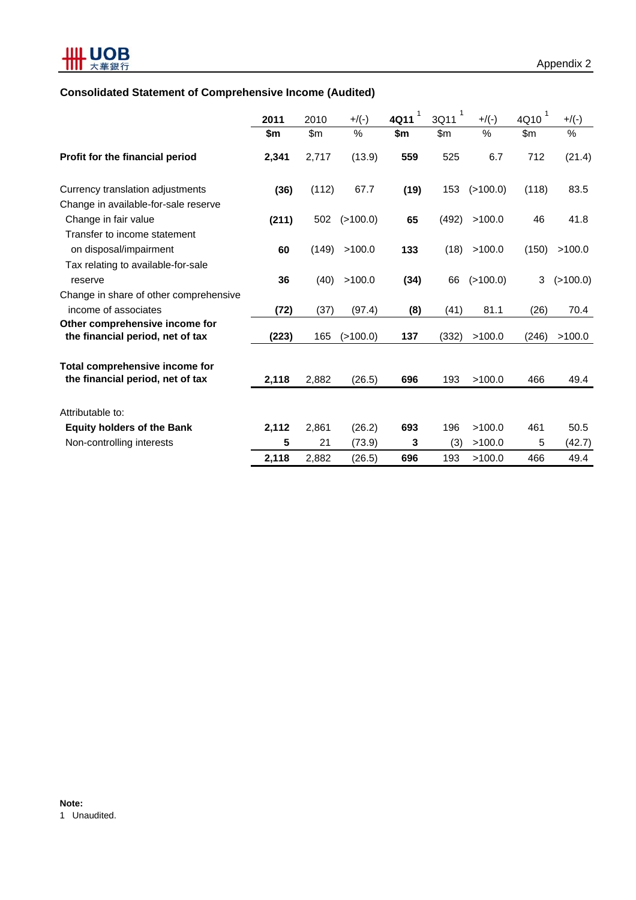

# **Consolidated Statement of Comprehensive Income (Audited)**

|                                        | 2011  | 2010          | $+$ /(-) | 1<br>4Q11 | 1<br>3Q11 | $+$ /(-) | $\mathbf{1}$<br>4Q10 | $+$ /(-) |
|----------------------------------------|-------|---------------|----------|-----------|-----------|----------|----------------------|----------|
|                                        | \$m   | $\mathsf{Sm}$ | %        | \$m       | \$m\$     | %        | \$m                  | %        |
| Profit for the financial period        | 2,341 | 2,717         | (13.9)   | 559       | 525       | 6.7      | 712                  | (21.4)   |
| Currency translation adjustments       | (36)  | (112)         | 67.7     | (19)      | 153       | (>100.0) | (118)                | 83.5     |
| Change in available-for-sale reserve   |       |               |          |           |           |          |                      |          |
| Change in fair value                   | (211) | 502           | (>100.0) | 65        | (492)     | >100.0   | 46                   | 41.8     |
| Transfer to income statement           |       |               |          |           |           |          |                      |          |
| on disposal/impairment                 | 60    | (149)         | >100.0   | 133       | (18)      | >100.0   | (150)                | >100.0   |
| Tax relating to available-for-sale     |       |               |          |           |           |          |                      |          |
| reserve                                | 36    | (40)          | >100.0   | (34)      | 66        | (>100.0) | 3                    | (>100.0) |
| Change in share of other comprehensive |       |               |          |           |           |          |                      |          |
| income of associates                   | (72)  | (37)          | (97.4)   | (8)       | (41)      | 81.1     | (26)                 | 70.4     |
| Other comprehensive income for         |       |               |          |           |           |          |                      |          |
| the financial period, net of tax       | (223) | 165           | (>100.0) | 137       | (332)     | >100.0   | (246)                | >100.0   |
| Total comprehensive income for         |       |               |          |           |           |          |                      |          |
| the financial period, net of tax       | 2,118 | 2,882         | (26.5)   | 696       | 193       | >100.0   | 466                  | 49.4     |
| Attributable to:                       |       |               |          |           |           |          |                      |          |
| <b>Equity holders of the Bank</b>      | 2,112 | 2,861         | (26.2)   | 693       | 196       | >100.0   | 461                  | 50.5     |
| Non-controlling interests              | 5     | 21            | (73.9)   | 3         | (3)       | >100.0   | 5                    | (42.7)   |
|                                        | 2,118 | 2,882         | (26.5)   | 696       | 193       | >100.0   | 466                  | 49.4     |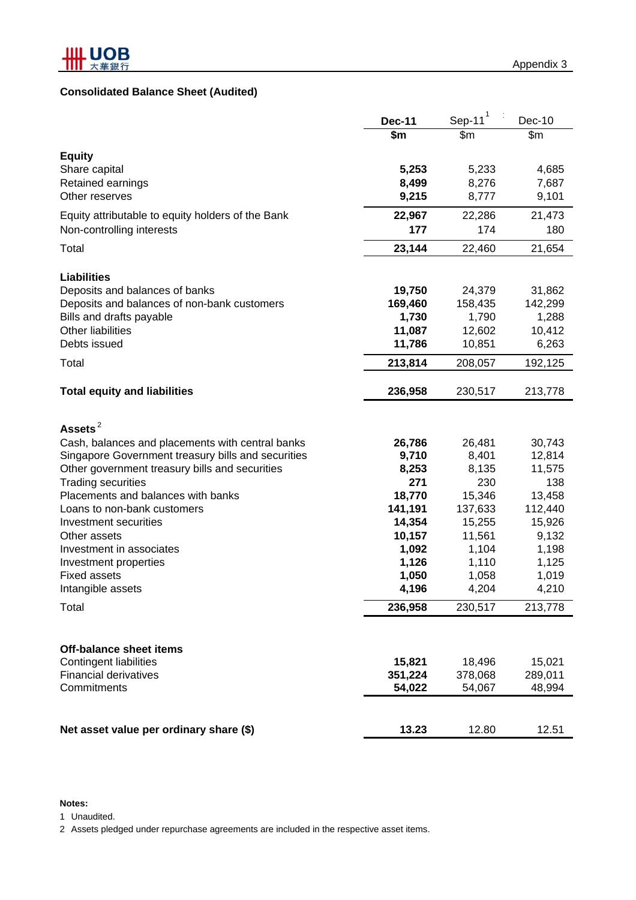

# **Consolidated Balance Sheet (Audited)**

|                                                                 | <b>Dec-11</b>     | Sep-11 $1$        | $Dec-10$          |
|-----------------------------------------------------------------|-------------------|-------------------|-------------------|
|                                                                 | \$m               | \$m               | \$m\$             |
|                                                                 |                   |                   |                   |
| <b>Equity</b><br>Share capital                                  | 5,253             | 5,233             | 4,685             |
| Retained earnings                                               | 8,499             | 8,276             | 7,687             |
| Other reserves                                                  | 9,215             | 8,777             | 9,101             |
|                                                                 |                   |                   |                   |
| Equity attributable to equity holders of the Bank               | 22,967            | 22,286            | 21,473            |
| Non-controlling interests                                       | 177               | 174               | 180               |
| Total                                                           | 23,144            | 22,460            | 21,654            |
|                                                                 |                   |                   |                   |
| <b>Liabilities</b>                                              |                   |                   |                   |
| Deposits and balances of banks                                  | 19,750            | 24,379            | 31,862            |
| Deposits and balances of non-bank customers                     | 169,460           | 158,435           | 142,299           |
| Bills and drafts payable                                        | 1,730             | 1,790             | 1,288             |
| <b>Other liabilities</b>                                        | 11,087            | 12,602            | 10,412            |
| Debts issued                                                    | 11,786            | 10,851            | 6,263             |
| Total                                                           | 213,814           | 208,057           | 192,125           |
|                                                                 |                   |                   |                   |
| <b>Total equity and liabilities</b>                             | 236,958           | 230,517           | 213,778           |
|                                                                 |                   |                   |                   |
| Assets $^2$                                                     |                   |                   |                   |
| Cash, balances and placements with central banks                | 26,786            | 26,481            | 30,743            |
| Singapore Government treasury bills and securities              | 9,710             | 8,401             | 12,814            |
| Other government treasury bills and securities                  | 8,253<br>271      | 8,135<br>230      | 11,575<br>138     |
| <b>Trading securities</b><br>Placements and balances with banks | 18,770            |                   | 13,458            |
| Loans to non-bank customers                                     | 141,191           | 15,346<br>137,633 | 112,440           |
| Investment securities                                           | 14,354            | 15,255            | 15,926            |
| Other assets                                                    | 10,157            | 11,561            | 9,132             |
| Investment in associates                                        | 1,092             | 1,104             | 1,198             |
| Investment properties                                           | 1,126             | 1,110             | 1,125             |
| <b>Fixed assets</b>                                             | 1,050             | 1,058             | 1,019             |
| Intangible assets                                               | 4,196             | 4,204             | 4,210             |
| Total                                                           | 236,958           | 230,517           | 213,778           |
|                                                                 |                   |                   |                   |
|                                                                 |                   |                   |                   |
| <b>Off-balance sheet items</b>                                  |                   |                   |                   |
| <b>Contingent liabilities</b>                                   | 15,821            | 18,496            | 15,021            |
| <b>Financial derivatives</b><br>Commitments                     | 351,224<br>54,022 | 378,068<br>54,067 | 289,011<br>48,994 |
|                                                                 |                   |                   |                   |
|                                                                 |                   |                   |                   |
| Net asset value per ordinary share (\$)                         | 13.23             | 12.80             | 12.51             |

#### **Notes:**

1 Unaudited.

2 Assets pledged under repurchase agreements are included in the respective asset items.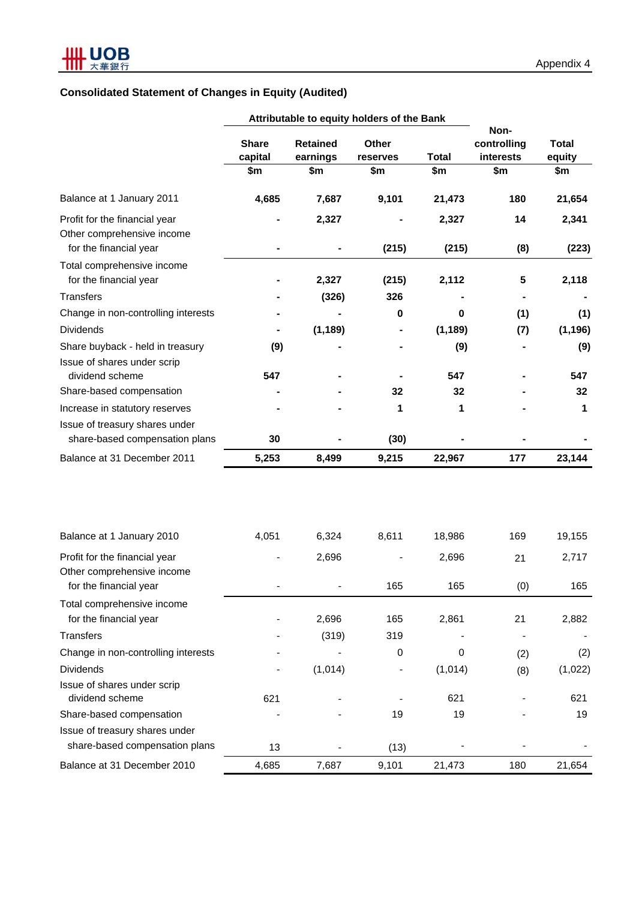# **Consolidated Statement of Changes in Equity (Audited)**

|                                                                  |                                | Attributable to equity holders of the Bank |                          |                     |                                           |                               |
|------------------------------------------------------------------|--------------------------------|--------------------------------------------|--------------------------|---------------------|-------------------------------------------|-------------------------------|
|                                                                  | <b>Share</b><br>capital<br>\$m | <b>Retained</b><br>earnings<br>\$m         | Other<br>reserves<br>\$m | <b>Total</b><br>\$m | Non-<br>controlling<br>interests<br>\$m\$ | <b>Total</b><br>equity<br>\$m |
|                                                                  |                                |                                            |                          |                     |                                           |                               |
| Balance at 1 January 2011                                        | 4,685                          | 7,687                                      | 9,101                    | 21,473              | 180                                       | 21,654                        |
| Profit for the financial year<br>Other comprehensive income      |                                | 2,327                                      |                          | 2,327               | 14                                        | 2,341                         |
| for the financial year                                           |                                | ۰                                          | (215)                    | (215)               | (8)                                       | (223)                         |
| Total comprehensive income<br>for the financial year             |                                | 2,327                                      | (215)                    | 2,112               | 5                                         | 2,118                         |
| <b>Transfers</b>                                                 |                                | (326)                                      | 326                      |                     |                                           |                               |
| Change in non-controlling interests                              |                                |                                            | 0                        | 0                   | (1)                                       | (1)                           |
| <b>Dividends</b>                                                 |                                | (1, 189)                                   |                          | (1, 189)            | (7)                                       | (1, 196)                      |
| Share buyback - held in treasury<br>Issue of shares under scrip  | (9)                            |                                            |                          | (9)                 |                                           | (9)                           |
| dividend scheme                                                  | 547                            |                                            |                          | 547                 |                                           | 547                           |
| Share-based compensation                                         |                                |                                            | 32                       | 32                  |                                           | 32                            |
| Increase in statutory reserves                                   |                                |                                            | 1                        | 1                   |                                           | 1                             |
| Issue of treasury shares under<br>share-based compensation plans | 30                             |                                            | (30)                     |                     |                                           |                               |
| Balance at 31 December 2011                                      | 5,253                          | 8,499                                      | 9,215                    | 22,967              | 177                                       | 23,144                        |
| Balance at 1 January 2010                                        | 4,051                          | 6,324                                      | 8,611                    | 18,986              | 169                                       | 19,155                        |
| Profit for the financial year                                    |                                | 2,696                                      |                          | 2,696               | 21                                        | 2,717                         |
| Other comprehensive income<br>for the financial year             |                                |                                            | 165                      | 165                 | (0)                                       | 165                           |
| Total comprehensive income<br>for the financial year             |                                | 2,696                                      | 165                      | 2,861               | 21                                        | 2,882                         |
| <b>Transfers</b>                                                 |                                | (319)                                      | 319                      |                     |                                           |                               |
| Change in non-controlling interests                              |                                |                                            | $\mathbf 0$              | 0                   | (2)                                       | (2)                           |
| <b>Dividends</b>                                                 |                                | (1,014)                                    |                          | (1,014)             | (8)                                       | (1,022)                       |
| Issue of shares under scrip<br>dividend scheme                   | 621                            |                                            |                          | 621                 |                                           | 621                           |
| Share-based compensation                                         |                                |                                            | 19                       | 19                  |                                           | 19                            |
| Issue of treasury shares under                                   |                                |                                            |                          |                     |                                           |                               |
| share-based compensation plans                                   | 13                             |                                            | (13)                     |                     |                                           |                               |
| Balance at 31 December 2010                                      | 4,685                          | 7,687                                      | 9,101                    | 21,473              | 180                                       | 21,654                        |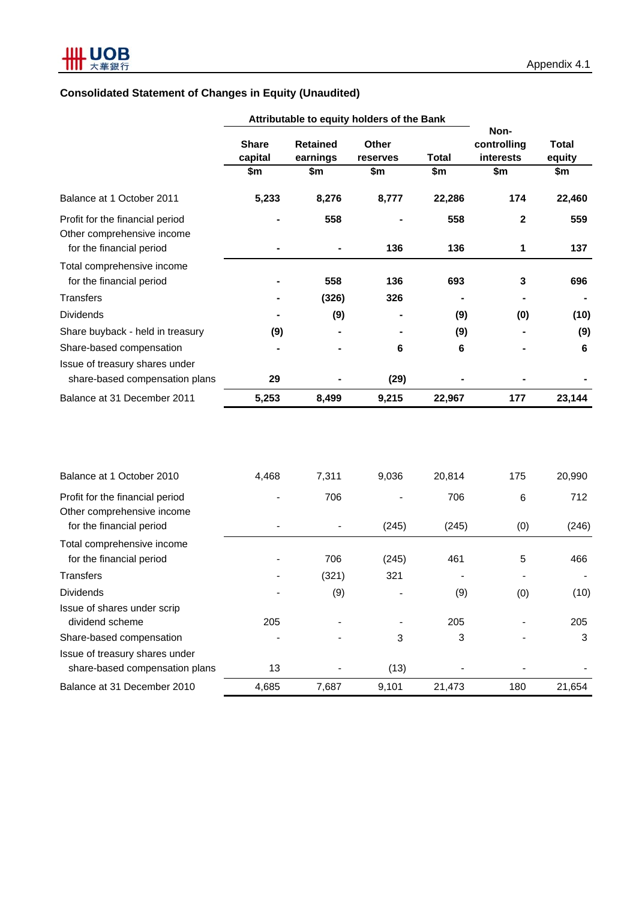# **Consolidated Statement of Changes in Equity (Unaudited)**

|                                                               | Attributable to equity holders of the Bank |                             |                          |        |                                         |                 |
|---------------------------------------------------------------|--------------------------------------------|-----------------------------|--------------------------|--------|-----------------------------------------|-----------------|
|                                                               | <b>Share</b><br>capital                    | <b>Retained</b><br>earnings | <b>Other</b><br>reserves | Total  | Non-<br>controlling<br><b>interests</b> | Total<br>equity |
|                                                               | \$m                                        | \$m                         | \$m                      | \$m    | \$m                                     | \$m             |
| Balance at 1 October 2011                                     | 5,233                                      | 8,276                       | 8,777                    | 22,286 | 174                                     | 22,460          |
| Profit for the financial period<br>Other comprehensive income |                                            | 558                         |                          | 558    | $\mathbf{2}$                            | 559             |
| for the financial period                                      |                                            |                             | 136                      | 136    | 1                                       | 137             |
| Total comprehensive income                                    |                                            |                             |                          |        |                                         |                 |
| for the financial period                                      |                                            | 558                         | 136                      | 693    | 3                                       | 696             |
| Transfers                                                     |                                            | (326)                       | 326                      |        |                                         |                 |
| <b>Dividends</b>                                              |                                            | (9)                         |                          | (9)    | (0)                                     | (10)            |
| Share buyback - held in treasury                              | (9)                                        |                             |                          | (9)    |                                         | (9)             |
| Share-based compensation                                      |                                            |                             | 6                        | 6      |                                         | 6               |
| Issue of treasury shares under                                |                                            |                             |                          |        |                                         |                 |
| share-based compensation plans                                | 29                                         |                             | (29)                     |        |                                         |                 |
| Balance at 31 December 2011                                   | 5,253                                      | 8,499                       | 9,215                    | 22,967 | 177                                     | 23,144          |

| Balance at 1 October 2010                                     | 4,468 | 7,311 | 9,036 | 20,814 | 175 | 20,990 |
|---------------------------------------------------------------|-------|-------|-------|--------|-----|--------|
| Profit for the financial period<br>Other comprehensive income |       | 706   |       | 706    | 6   | 712    |
| for the financial period                                      |       |       | (245) | (245)  | (0) | (246)  |
| Total comprehensive income                                    |       |       |       |        |     |        |
| for the financial period                                      |       | 706   | (245) | 461    | 5   | 466    |
| Transfers                                                     |       | (321) | 321   |        |     |        |
| <b>Dividends</b>                                              |       | (9)   |       | (9)    | (0) | (10)   |
| Issue of shares under scrip<br>dividend scheme                | 205   |       |       | 205    |     | 205    |
| Share-based compensation                                      |       |       | 3     | 3      |     | 3      |
| Issue of treasury shares under                                |       |       |       |        |     |        |
| share-based compensation plans                                | 13    |       | (13)  |        |     |        |
| Balance at 31 December 2010                                   | 4,685 | 7,687 | 9,101 | 21,473 | 180 | 21,654 |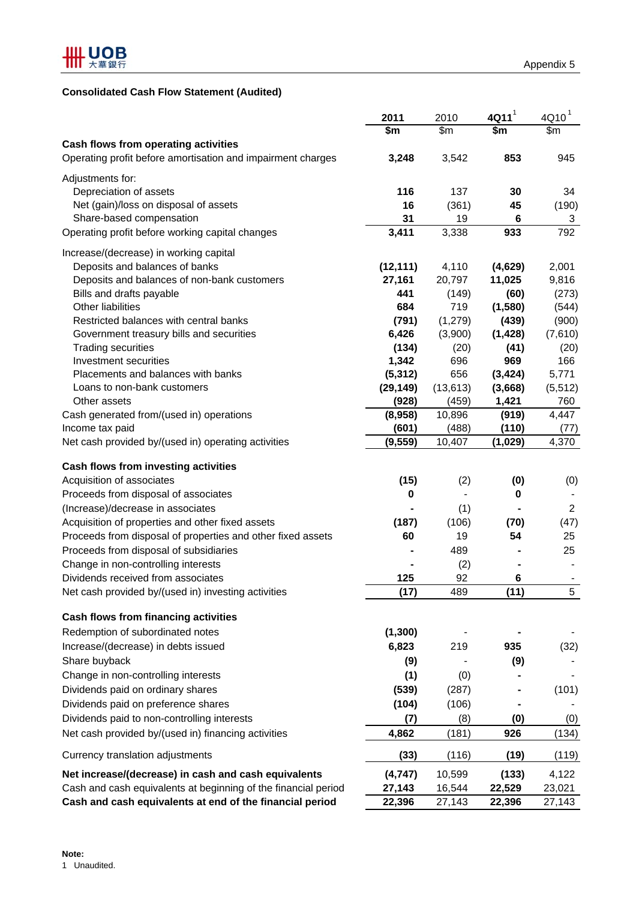

### **Consolidated Cash Flow Statement (Audited)**

|                                                                | 2011        | 2010      | 4Q11        | 4Q10           |
|----------------------------------------------------------------|-------------|-----------|-------------|----------------|
|                                                                | \$m         | \$m       | \$m         | \$m\$          |
| Cash flows from operating activities                           |             |           |             |                |
| Operating profit before amortisation and impairment charges    | 3,248       | 3,542     | 853         | 945            |
| Adjustments for:                                               |             |           |             |                |
| Depreciation of assets                                         | 116         | 137       | 30          | 34             |
| Net (gain)/loss on disposal of assets                          | 16          | (361)     | 45          | (190)          |
| Share-based compensation                                       | 31          | 19        | 6           | 3              |
| Operating profit before working capital changes                | 3,411       | 3,338     | 933         | 792            |
| Increase/(decrease) in working capital                         |             |           |             |                |
| Deposits and balances of banks                                 | (12, 111)   | 4,110     | (4,629)     | 2,001          |
| Deposits and balances of non-bank customers                    | 27,161      | 20,797    | 11,025      | 9,816          |
| Bills and drafts payable                                       | 441         | (149)     | (60)        | (273)          |
| Other liabilities                                              | 684         | 719       | (1,580)     | (544)          |
| Restricted balances with central banks                         | (791)       | (1,279)   | (439)       | (900)          |
| Government treasury bills and securities                       | 6,426       | (3,900)   | (1, 428)    | (7,610)        |
| <b>Trading securities</b>                                      | (134)       | (20)      | (41)        | (20)           |
| Investment securities                                          | 1,342       | 696       | 969         | 166            |
| Placements and balances with banks                             | (5, 312)    | 656       | (3, 424)    | 5,771          |
| Loans to non-bank customers                                    | (29, 149)   | (13, 613) | (3,668)     | (5, 512)       |
| Other assets                                                   | (928)       | (459)     | 1,421       | 760            |
| Cash generated from/(used in) operations                       | (8,958)     | 10,896    | (919)       | 4,447          |
| Income tax paid                                                | (601)       | (488)     | (110)       | (77)           |
| Net cash provided by/(used in) operating activities            | (9, 559)    | 10,407    | (1,029)     | 4,370          |
|                                                                |             |           |             |                |
| Cash flows from investing activities                           |             |           |             |                |
| Acquisition of associates                                      | (15)        | (2)       | (0)         | (0)            |
| Proceeds from disposal of associates                           | $\mathbf 0$ |           | $\mathbf 0$ |                |
| (Increase)/decrease in associates                              |             | (1)       |             | $\overline{2}$ |
| Acquisition of properties and other fixed assets               | (187)       | (106)     | (70)        | (47)           |
| Proceeds from disposal of properties and other fixed assets    | 60          | 19        | 54          | 25             |
| Proceeds from disposal of subsidiaries                         |             | 489       |             | 25             |
| Change in non-controlling interests                            |             | (2)       |             |                |
| Dividends received from associates                             | 125         | 92        | 6           |                |
| Net cash provided by/(used in) investing activities            | (17)        | 489       | (11)        | 5              |
| Cash flows from financing activities                           |             |           |             |                |
| Redemption of subordinated notes                               | (1, 300)    |           |             |                |
|                                                                |             | 219       | 935         |                |
| Increase/(decrease) in debts issued                            | 6,823       |           |             | (32)           |
| Share buyback                                                  | (9)         |           | (9)         |                |
| Change in non-controlling interests                            | (1)         | (0)       |             |                |
| Dividends paid on ordinary shares                              | (539)       | (287)     |             | (101)          |
| Dividends paid on preference shares                            | (104)       | (106)     |             |                |
| Dividends paid to non-controlling interests                    | (7)         | (8)       | (0)         | (0)            |
| Net cash provided by/(used in) financing activities            | 4,862       | (181)     | 926         | (134)          |
| Currency translation adjustments                               | (33)        | (116)     | (19)        | (119)          |
| Net increase/(decrease) in cash and cash equivalents           | (4,747)     | 10,599    | (133)       | 4,122          |
| Cash and cash equivalents at beginning of the financial period | 27,143      | 16,544    | 22,529      | 23,021         |
| Cash and cash equivalents at end of the financial period       | 22,396      | 27,143    | 22,396      | 27,143         |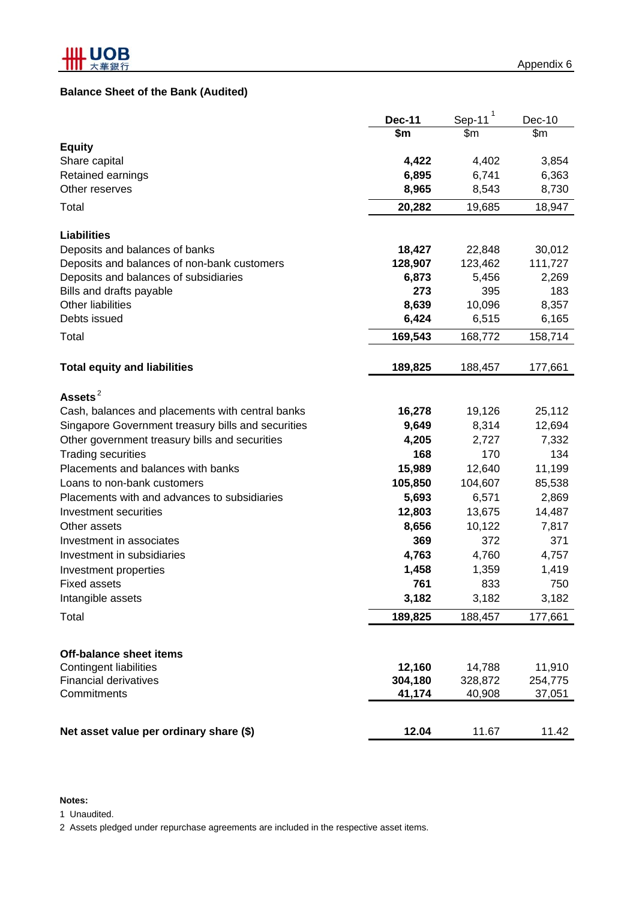

# **Balance Sheet of the Bank (Audited)**

|                                                                 | <b>Dec-11</b>  | Sep-11         | Dec-10  |
|-----------------------------------------------------------------|----------------|----------------|---------|
|                                                                 | \$m\$          | \$m            | \$m\$   |
| <b>Equity</b>                                                   |                |                |         |
| Share capital                                                   | 4,422          | 4,402          | 3,854   |
| Retained earnings                                               | 6,895<br>8,965 | 6,741<br>8,543 | 6,363   |
| Other reserves                                                  |                |                | 8,730   |
| Total                                                           | 20,282         | 19,685         | 18,947  |
| <b>Liabilities</b>                                              |                |                |         |
| Deposits and balances of banks                                  | 18,427         | 22,848         | 30,012  |
| Deposits and balances of non-bank customers                     | 128,907        | 123,462        | 111,727 |
| Deposits and balances of subsidiaries                           | 6,873          | 5,456          | 2,269   |
| Bills and drafts payable                                        | 273            | 395            | 183     |
| Other liabilities                                               | 8,639          | 10,096         | 8,357   |
| Debts issued                                                    | 6,424          | 6,515          | 6,165   |
| Total                                                           | 169,543        | 168,772        | 158,714 |
| <b>Total equity and liabilities</b>                             | 189,825        | 188,457        | 177,661 |
|                                                                 |                |                |         |
| Assets <sup>2</sup>                                             |                |                |         |
| Cash, balances and placements with central banks                | 16,278         | 19,126         | 25,112  |
| Singapore Government treasury bills and securities              | 9,649          | 8,314          | 12,694  |
| Other government treasury bills and securities                  | 4,205          | 2,727          | 7,332   |
| <b>Trading securities</b>                                       | 168            | 170            | 134     |
| Placements and balances with banks                              | 15,989         | 12,640         | 11,199  |
| Loans to non-bank customers                                     | 105,850        | 104,607        | 85,538  |
| Placements with and advances to subsidiaries                    | 5,693          | 6,571          | 2,869   |
| Investment securities                                           | 12,803         | 13,675         | 14,487  |
| Other assets                                                    | 8,656          | 10,122         | 7,817   |
| Investment in associates                                        | 369            | 372            | 371     |
| Investment in subsidiaries                                      | 4,763          | 4,760          | 4,757   |
| Investment properties                                           | 1,458          | 1,359          | 1,419   |
| Fixed assets                                                    | 761            | 833            | 750.    |
| Intangible assets                                               | 3,182          | 3,182          | 3,182   |
| Total                                                           | 189,825        | 188,457        | 177,661 |
|                                                                 |                |                |         |
| <b>Off-balance sheet items</b><br><b>Contingent liabilities</b> | 12,160         | 14,788         | 11,910  |
| <b>Financial derivatives</b>                                    | 304,180        | 328,872        | 254,775 |
| Commitments                                                     | 41,174         | 40,908         | 37,051  |
|                                                                 |                |                |         |
| Net asset value per ordinary share (\$)                         | 12.04          | 11.67          | 11.42   |

#### **Notes:**

1 Unaudited.

2 Assets pledged under repurchase agreements are included in the respective asset items.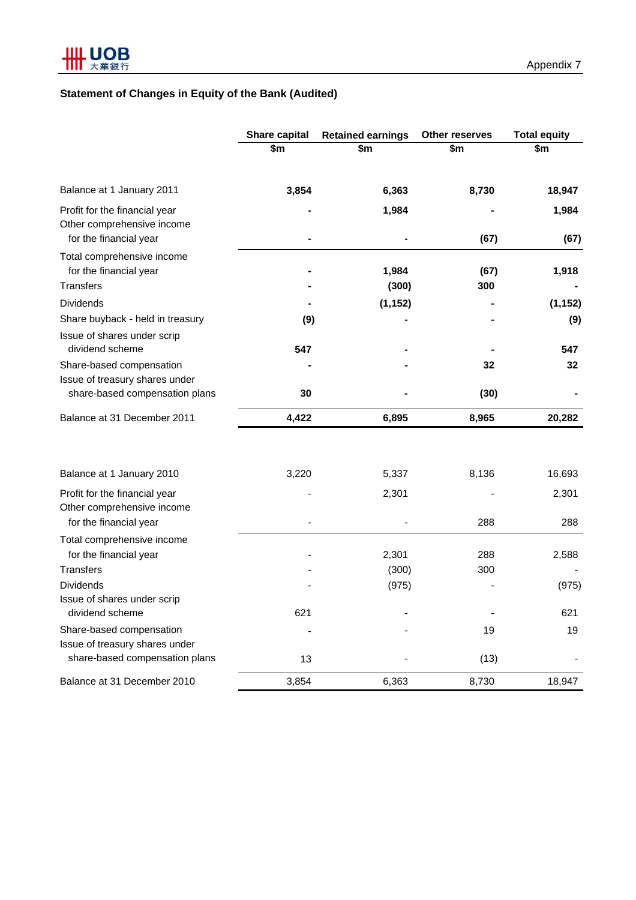# **Statement of Changes in Equity of the Bank (Audited)**

|                                                                  | <b>Share capital</b> | <b>Retained earnings</b> | <b>Other reserves</b> | <b>Total equity</b> |  |
|------------------------------------------------------------------|----------------------|--------------------------|-----------------------|---------------------|--|
|                                                                  | \$m                  | \$m                      | \$m                   | \$m                 |  |
| Balance at 1 January 2011                                        | 3,854                | 6,363                    | 8,730                 | 18,947              |  |
| Profit for the financial year<br>Other comprehensive income      |                      | 1,984                    |                       | 1,984               |  |
| for the financial year                                           |                      |                          | (67)                  | (67)                |  |
| Total comprehensive income<br>for the financial year             |                      | 1,984                    | (67)                  | 1,918               |  |
| <b>Transfers</b>                                                 |                      | (300)                    | 300                   |                     |  |
| <b>Dividends</b>                                                 |                      | (1, 152)                 |                       | (1, 152)            |  |
| Share buyback - held in treasury                                 | (9)                  |                          |                       | (9)                 |  |
| Issue of shares under scrip<br>dividend scheme                   | 547                  |                          |                       | 547                 |  |
| Share-based compensation                                         |                      |                          | 32                    | 32                  |  |
| Issue of treasury shares under<br>share-based compensation plans | 30                   |                          | (30)                  |                     |  |
| Balance at 31 December 2011                                      | 4,422                | 6,895                    | 8,965                 | 20,282              |  |
|                                                                  |                      |                          |                       |                     |  |
| Balance at 1 January 2010                                        | 3,220                | 5,337                    | 8,136                 | 16,693              |  |
| Profit for the financial year<br>Other comprehensive income      |                      | 2,301                    |                       | 2,301               |  |
| for the financial year                                           |                      |                          | 288                   | 288                 |  |
| Total comprehensive income<br>for the financial year             |                      | 2,301                    | 288                   | 2,588               |  |
| Transfers                                                        |                      | (300)                    | 300                   |                     |  |
| <b>Dividends</b>                                                 |                      | (975)                    |                       | (975)               |  |
| Issue of shares under scrip<br>dividend scheme                   | 621                  |                          |                       | 621                 |  |
| Share-based compensation                                         |                      |                          | 19                    | 19                  |  |
| Issue of treasury shares under                                   |                      |                          |                       |                     |  |
| share-based compensation plans                                   | 13                   |                          | (13)                  |                     |  |
| Balance at 31 December 2010                                      | 3,854                | 6,363                    | 8,730                 | 18,947              |  |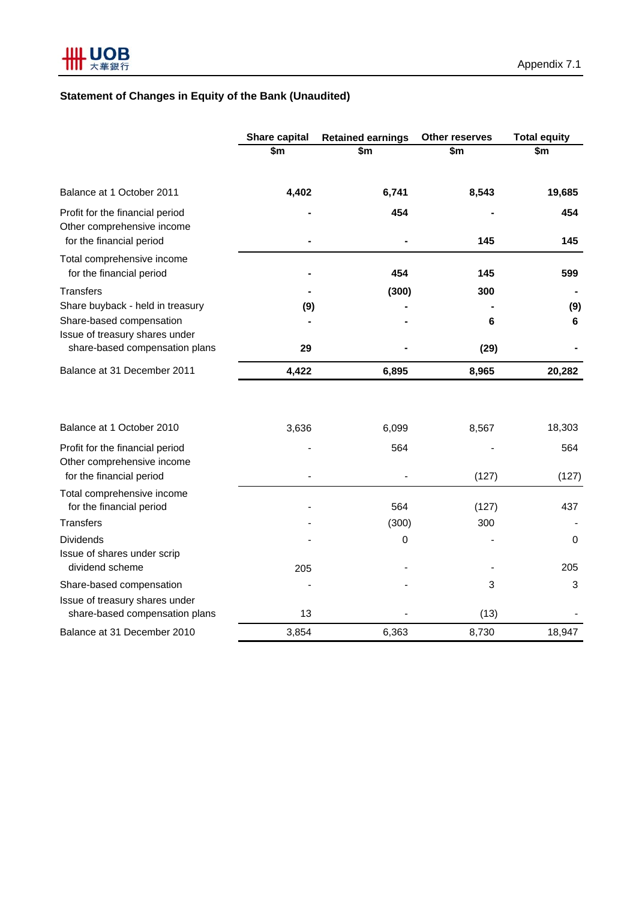# **Statement of Changes in Equity of the Bank (Unaudited)**

|                                                                                           | <b>Share capital</b> | <b>Retained earnings</b> | <b>Other reserves</b> | <b>Total equity</b> |  |
|-------------------------------------------------------------------------------------------|----------------------|--------------------------|-----------------------|---------------------|--|
|                                                                                           | \$m                  | \$m                      | \$m                   | \$m                 |  |
| Balance at 1 October 2011                                                                 | 4,402                | 6,741                    | 8,543                 | 19,685              |  |
| Profit for the financial period<br>Other comprehensive income<br>for the financial period |                      | 454                      | 145                   | 454<br>145          |  |
| Total comprehensive income<br>for the financial period                                    |                      | 454                      | 145                   | 599                 |  |
| <b>Transfers</b>                                                                          |                      | (300)                    | 300                   |                     |  |
| Share buyback - held in treasury                                                          | (9)                  |                          |                       | (9)                 |  |
| Share-based compensation                                                                  |                      |                          | 6                     | 6                   |  |
| Issue of treasury shares under<br>share-based compensation plans                          | 29                   |                          | (29)                  |                     |  |
| Balance at 31 December 2011                                                               | 4,422                | 6,895                    | 8,965                 | 20,282              |  |
| Balance at 1 October 2010                                                                 | 3,636                | 6,099                    | 8,567                 | 18,303              |  |
| Profit for the financial period                                                           |                      | 564                      |                       | 564                 |  |
| Other comprehensive income<br>for the financial period                                    |                      |                          | (127)                 | (127)               |  |
| Total comprehensive income<br>for the financial period                                    |                      | 564                      | (127)                 | 437                 |  |
| <b>Transfers</b>                                                                          |                      | (300)                    | 300                   |                     |  |
| <b>Dividends</b>                                                                          |                      | 0                        |                       | 0                   |  |
| Issue of shares under scrip<br>dividend scheme                                            | 205                  |                          |                       | 205                 |  |
| Share-based compensation                                                                  |                      |                          | 3                     | 3                   |  |
| Issue of treasury shares under<br>share-based compensation plans                          | 13                   |                          | (13)                  |                     |  |
| Balance at 31 December 2010                                                               | 3,854                | 6,363                    | 8,730                 | 18,947              |  |